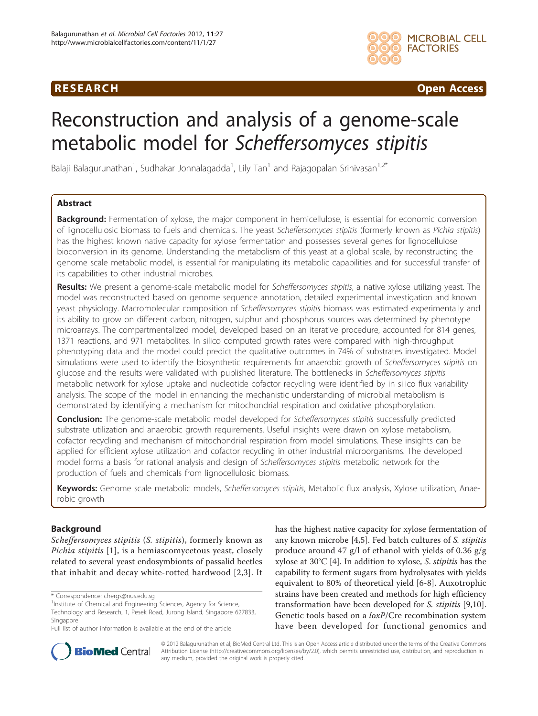## **RESEARCH Open Access Open Access**



# Reconstruction and analysis of a genome-scale metabolic model for Scheffersomyces stipitis

Balaji Balagurunathan<sup>1</sup>, Sudhakar Jonnalagadda<sup>1</sup>, Lily Tan<sup>1</sup> and Rajagopalan Srinivasan<sup>1,2\*</sup>

## Abstract

**Background:** Fermentation of xylose, the major component in hemicellulose, is essential for economic conversion of lignocellulosic biomass to fuels and chemicals. The yeast *Scheffersomyces stipitis* (formerly known as *Pichia stipitis*) has the highest known native capacity for xylose fermentation and possesses several genes for lignocellulose bioconversion in its genome. Understanding the metabolism of this yeast at a global scale, by reconstructing the genome scale metabolic model, is essential for manipulating its metabolic capabilities and for successful transfer of its capabilities to other industrial microbes.

Results: We present a genome-scale metabolic model for *Scheffersomyces stipitis*, a native xylose utilizing yeast. The model was reconstructed based on genome sequence annotation, detailed experimental investigation and known yeast physiology. Macromolecular composition of *Scheffersomyces stipitis* biomass was estimated experimentally and its ability to grow on different carbon, nitrogen, sulphur and phosphorus sources was determined by phenotype microarrays. The compartmentalized model, developed based on an iterative procedure, accounted for 814 genes, 1371 reactions, and 971 metabolites. In silico computed growth rates were compared with high-throughput phenotyping data and the model could predict the qualitative outcomes in 74% of substrates investigated. Model simulations were used to identify the biosynthetic requirements for anaerobic growth of *Scheffersomyces stipitis* on glucose and the results were validated with published literature. The bottlenecks in *Scheffersomyces stipitis* metabolic network for xylose uptake and nucleotide cofactor recycling were identified by in silico flux variability analysis. The scope of the model in enhancing the mechanistic understanding of microbial metabolism is demonstrated by identifying a mechanism for mitochondrial respiration and oxidative phosphorylation.

Conclusion: The genome-scale metabolic model developed for *Scheffersomyces stipitis* successfully predicted substrate utilization and anaerobic growth requirements. Useful insights were drawn on xylose metabolism, cofactor recycling and mechanism of mitochondrial respiration from model simulations. These insights can be applied for efficient xylose utilization and cofactor recycling in other industrial microorganisms. The developed model forms a basis for rational analysis and design of *Scheffersomyces stipitis* metabolic network for the production of fuels and chemicals from lignocellulosic biomass.

Keywords: Genome scale metabolic models, *Scheffersomyces stipitis*, Metabolic flux analysis, Xylose utilization, Anaerobic growth

## Background

Scheffersomyces stipitis (S. stipitis), formerly known as Pichia stipitis [[1](#page-15-0)], is a hemiascomycetous yeast, closely related to several yeast endosymbionts of passalid beetles that inhabit and decay white-rotted hardwood [[2](#page-15-0),[3\]](#page-15-0). It

\* Correspondence: [chergs@nus.edu.sg](mailto:chergs@nus.edu.sg)

has the highest native capacity for xylose fermentation of any known microbe [\[4,5](#page-15-0)]. Fed batch cultures of S. stipitis produce around 47 g/l of ethanol with yields of 0.36 g/g xylose at 30°C [\[4\]](#page-15-0). In addition to xylose, S. stipitis has the capability to ferment sugars from hydrolysates with yields equivalent to 80% of theoretical yield [\[6](#page-15-0)-[8\]](#page-15-0). Auxotrophic strains have been created and methods for high efficiency transformation have been developed for S. stipitis [[9,10](#page-15-0)]. Genetic tools based on a loxP/Cre recombination system have been developed for functional genomics and



© 2012 Balagurunathan et al; BioMed Central Ltd. This is an Open Access article distributed under the terms of the Creative Commons Attribution License [\(http://creativecommons.org/licenses/by/2.0](http://creativecommons.org/licenses/by/2.0)), which permits unrestricted use, distribution, and reproduction in any medium, provided the original work is properly cited.

<sup>&</sup>lt;sup>1</sup>Institute of Chemical and Engineering Sciences, Agency for Science, Technology and Research, 1, Pesek Road, Jurong Island, Singapore 627833, Singapore

Full list of author information is available at the end of the article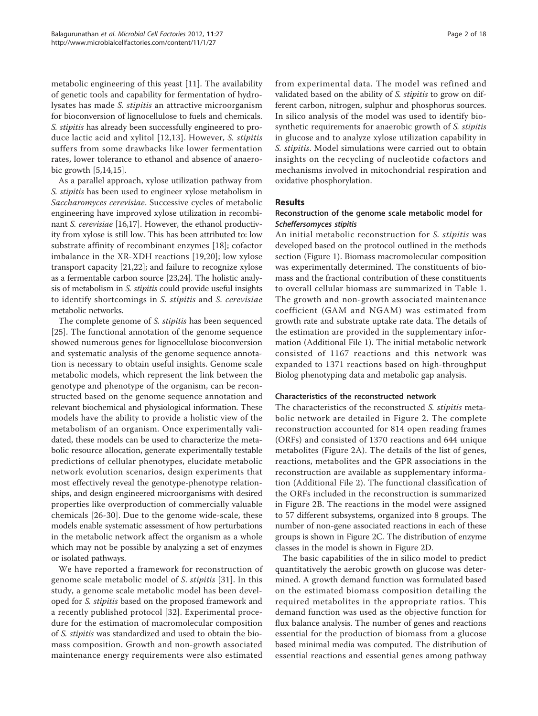metabolic engineering of this yeast [\[11](#page-15-0)]. The availability of genetic tools and capability for fermentation of hydrolysates has made S. stipitis an attractive microorganism for bioconversion of lignocellulose to fuels and chemicals. S. stipitis has already been successfully engineered to produce lactic acid and xylitol [\[12,13](#page-15-0)]. However, S. stipitis suffers from some drawbacks like lower fermentation rates, lower tolerance to ethanol and absence of anaerobic growth [[5,14,15\]](#page-15-0).

As a parallel approach, xylose utilization pathway from S. stipitis has been used to engineer xylose metabolism in Saccharomyces cerevisiae. Successive cycles of metabolic engineering have improved xylose utilization in recombinant S. cerevisiae [[16,17\]](#page-15-0). However, the ethanol productivity from xylose is still low. This has been attributed to: low substrate affinity of recombinant enzymes [\[18](#page-16-0)]; cofactor imbalance in the XR-XDH reactions [[19,20](#page-16-0)]; low xylose transport capacity [\[21,22\]](#page-16-0); and failure to recognize xylose as a fermentable carbon source [\[23,24](#page-16-0)]. The holistic analysis of metabolism in S. stipitis could provide useful insights to identify shortcomings in S. stipitis and S. cerevisiae metabolic networks.

The complete genome of S. stipitis has been sequenced [[25\]](#page-16-0). The functional annotation of the genome sequence showed numerous genes for lignocellulose bioconversion and systematic analysis of the genome sequence annotation is necessary to obtain useful insights. Genome scale metabolic models, which represent the link between the genotype and phenotype of the organism, can be reconstructed based on the genome sequence annotation and relevant biochemical and physiological information. These models have the ability to provide a holistic view of the metabolism of an organism. Once experimentally validated, these models can be used to characterize the metabolic resource allocation, generate experimentally testable predictions of cellular phenotypes, elucidate metabolic network evolution scenarios, design experiments that most effectively reveal the genotype-phenotype relationships, and design engineered microorganisms with desired properties like overproduction of commercially valuable chemicals [[26](#page-16-0)-[30\]](#page-16-0). Due to the genome wide-scale, these models enable systematic assessment of how perturbations in the metabolic network affect the organism as a whole which may not be possible by analyzing a set of enzymes or isolated pathways.

We have reported a framework for reconstruction of genome scale metabolic model of S. stipitis [[31\]](#page-16-0). In this study, a genome scale metabolic model has been developed for S. stipitis based on the proposed framework and a recently published protocol [[32](#page-16-0)]. Experimental procedure for the estimation of macromolecular composition of S. stipitis was standardized and used to obtain the biomass composition. Growth and non-growth associated maintenance energy requirements were also estimated

from experimental data. The model was refined and validated based on the ability of S. stipitis to grow on different carbon, nitrogen, sulphur and phosphorus sources. In silico analysis of the model was used to identify biosynthetic requirements for anaerobic growth of S. stipitis in glucose and to analyze xylose utilization capability in S. stipitis. Model simulations were carried out to obtain insights on the recycling of nucleotide cofactors and mechanisms involved in mitochondrial respiration and oxidative phosphorylation.

#### Results

#### Reconstruction of the genome scale metabolic model for Scheffersomyces stipitis

An initial metabolic reconstruction for S. stipitis was developed based on the protocol outlined in the methods section (Figure [1](#page-2-0)). Biomass macromolecular composition was experimentally determined. The constituents of biomass and the fractional contribution of these constituents to overall cellular biomass are summarized in Table [1](#page-3-0). The growth and non-growth associated maintenance coefficient (GAM and NGAM) was estimated from growth rate and substrate uptake rate data. The details of the estimation are provided in the supplementary information (Additional File [1](#page-15-0)). The initial metabolic network consisted of 1167 reactions and this network was expanded to 1371 reactions based on high-throughput Biolog phenotyping data and metabolic gap analysis.

#### Characteristics of the reconstructed network

The characteristics of the reconstructed *S. stipitis* metabolic network are detailed in Figure [2](#page-4-0). The complete reconstruction accounted for 814 open reading frames (ORFs) and consisted of 1370 reactions and 644 unique metabolites (Figure [2A\)](#page-4-0). The details of the list of genes, reactions, metabolites and the GPR associations in the reconstruction are available as supplementary information (Additional File [2](#page-15-0)). The functional classification of the ORFs included in the reconstruction is summarized in Figure [2B.](#page-4-0) The reactions in the model were assigned to 57 different subsystems, organized into 8 groups. The number of non-gene associated reactions in each of these groups is shown in Figure [2C](#page-4-0). The distribution of enzyme classes in the model is shown in Figure [2D.](#page-4-0)

The basic capabilities of the in silico model to predict quantitatively the aerobic growth on glucose was determined. A growth demand function was formulated based on the estimated biomass composition detailing the required metabolites in the appropriate ratios. This demand function was used as the objective function for flux balance analysis. The number of genes and reactions essential for the production of biomass from a glucose based minimal media was computed. The distribution of essential reactions and essential genes among pathway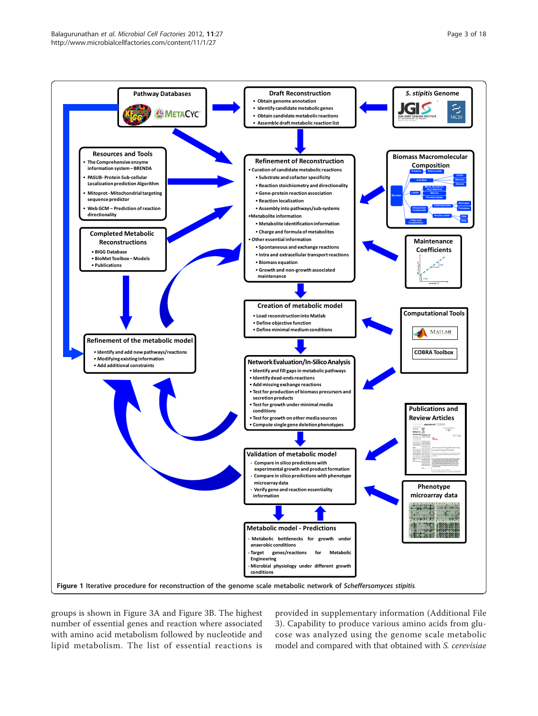<span id="page-2-0"></span>

groups is shown in Figure [3A](#page-5-0) and Figure [3B](#page-5-0). The highest number of essential genes and reaction where associated with amino acid metabolism followed by nucleotide and lipid metabolism. The list of essential reactions is

provided in supplementary information (Additional File [3\)](#page-15-0). Capability to produce various amino acids from glucose was analyzed using the genome scale metabolic model and compared with that obtained with S. cerevisiae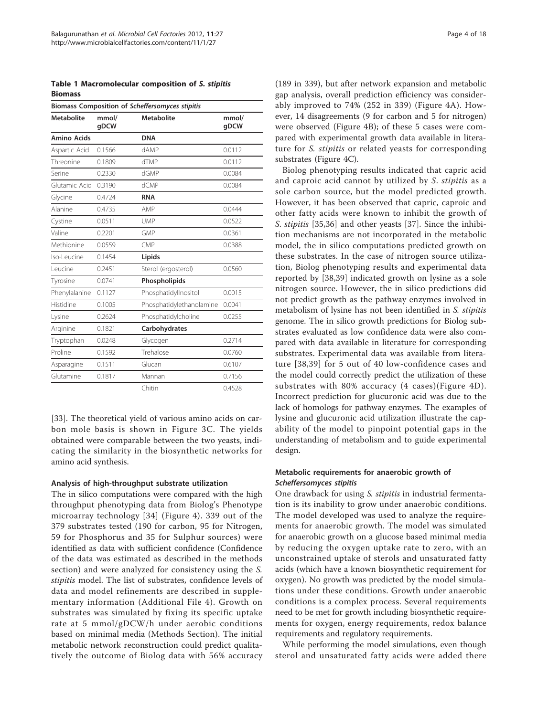<span id="page-3-0"></span>Table 1 Macromolecular composition of S. stipitis Biomass

| Biomass Composition of Scheffersomyces stipitis |               |                          |               |  |  |
|-------------------------------------------------|---------------|--------------------------|---------------|--|--|
| <b>Metabolite</b>                               | mmol/<br>qDCW | <b>Metabolite</b>        | mmol/<br>qDCW |  |  |
| <b>Amino Acids</b>                              |               | <b>DNA</b>               |               |  |  |
| Aspartic Acid                                   | 0.1566        | dAMP                     | 0.0112        |  |  |
| Threonine                                       | 0.1809        | dTMP                     | 0.0112        |  |  |
| Serine                                          | 0.2330        | dGMP                     | 0.0084        |  |  |
| Glutamic Acid                                   | 0.3190        | dCMP                     | 0.0084        |  |  |
| Glycine                                         | 0.4724        | <b>RNA</b>               |               |  |  |
| Alanine                                         | 0.4735        | AMP                      | 0.0444        |  |  |
| Cystine                                         | 0.0511        | <b>UMP</b>               | 0.0522        |  |  |
| Valine                                          | 0.2201        | <b>GMP</b>               | 0.0361        |  |  |
| Methionine                                      | 0.0559        | CMP                      | 0.0388        |  |  |
| Iso-Leucine                                     | 0.1454        | Lipids                   |               |  |  |
| I eucine                                        | 0.2451        | Sterol (ergosterol)      | 0.0560        |  |  |
| Tyrosine                                        | 0.0741        | Phospholipids            |               |  |  |
| Phenylalanine                                   | 0.1127        | Phosphatidyllnositol     | 0.0015        |  |  |
| Histidine                                       | 0.1005        | Phosphatidylethanolamine | 0.0041        |  |  |
| Lysine                                          | 0.2624        | Phosphatidylcholine      | 0.0255        |  |  |
| Arginine                                        | 0.1821        | Carbohydrates            |               |  |  |
| Tryptophan                                      | 0.0248        | Glycogen                 | 0.2714        |  |  |
| Proline                                         | 0.1592        | Trehalose                | 0.0760        |  |  |
| Asparagine                                      | 0.1511        | Glucan                   | 0.6107        |  |  |
| Glutamine                                       | 0.1817        | Mannan                   | 0.7156        |  |  |
|                                                 |               | Chitin                   | 0.4528        |  |  |

[[33\]](#page-16-0). The theoretical yield of various amino acids on carbon mole basis is shown in Figure [3C.](#page-5-0) The yields obtained were comparable between the two yeasts, indicating the similarity in the biosynthetic networks for amino acid synthesis.

#### Analysis of high-throughput substrate utilization

The in silico computations were compared with the high throughput phenotyping data from Biolog's Phenotype microarray technology [[34\]](#page-16-0) (Figure [4\)](#page-6-0). 339 out of the 379 substrates tested (190 for carbon, 95 for Nitrogen, 59 for Phosphorus and 35 for Sulphur sources) were identified as data with sufficient confidence (Confidence of the data was estimated as described in the methods section) and were analyzed for consistency using the S. stipitis model. The list of substrates, confidence levels of data and model refinements are described in supplementary information (Additional File [4](#page-15-0)). Growth on substrates was simulated by fixing its specific uptake rate at 5 mmol/gDCW/h under aerobic conditions based on minimal media (Methods Section). The initial metabolic network reconstruction could predict qualitatively the outcome of Biolog data with 56% accuracy (189 in 339), but after network expansion and metabolic gap analysis, overall prediction efficiency was considerably improved to 74% (252 in 339) (Figure [4A\)](#page-6-0). However, 14 disagreements (9 for carbon and 5 for nitrogen) were observed (Figure [4B\)](#page-6-0); of these 5 cases were compared with experimental growth data available in literature for S. stipitis or related yeasts for corresponding substrates (Figure [4C\)](#page-6-0).

Biolog phenotyping results indicated that capric acid and caproic acid cannot by utilized by S. stipitis as a sole carbon source, but the model predicted growth. However, it has been observed that capric, caproic and other fatty acids were known to inhibit the growth of S. stipitis [[35](#page-16-0),[36](#page-16-0)] and other yeasts [\[37](#page-16-0)]. Since the inhibition mechanisms are not incorporated in the metabolic model, the in silico computations predicted growth on these substrates. In the case of nitrogen source utilization, Biolog phenotyping results and experimental data reported by [[38,39\]](#page-16-0) indicated growth on lysine as a sole nitrogen source. However, the in silico predictions did not predict growth as the pathway enzymes involved in metabolism of lysine has not been identified in S. stipitis genome. The in silico growth predictions for Biolog substrates evaluated as low confidence data were also compared with data available in literature for corresponding substrates. Experimental data was available from literature [\[38,39](#page-16-0)] for 5 out of 40 low-confidence cases and the model could correctly predict the utilization of these substrates with 80% accuracy (4 cases)(Figure [4D\)](#page-6-0). Incorrect prediction for glucuronic acid was due to the lack of homologs for pathway enzymes. The examples of lysine and glucuronic acid utilization illustrate the capability of the model to pinpoint potential gaps in the understanding of metabolism and to guide experimental design.

#### Metabolic requirements for anaerobic growth of Scheffersomyces stipitis

One drawback for using S. stipitis in industrial fermentation is its inability to grow under anaerobic conditions. The model developed was used to analyze the requirements for anaerobic growth. The model was simulated for anaerobic growth on a glucose based minimal media by reducing the oxygen uptake rate to zero, with an unconstrained uptake of sterols and unsaturated fatty acids (which have a known biosynthetic requirement for oxygen). No growth was predicted by the model simulations under these conditions. Growth under anaerobic conditions is a complex process. Several requirements need to be met for growth including biosynthetic requirements for oxygen, energy requirements, redox balance requirements and regulatory requirements.

While performing the model simulations, even though sterol and unsaturated fatty acids were added there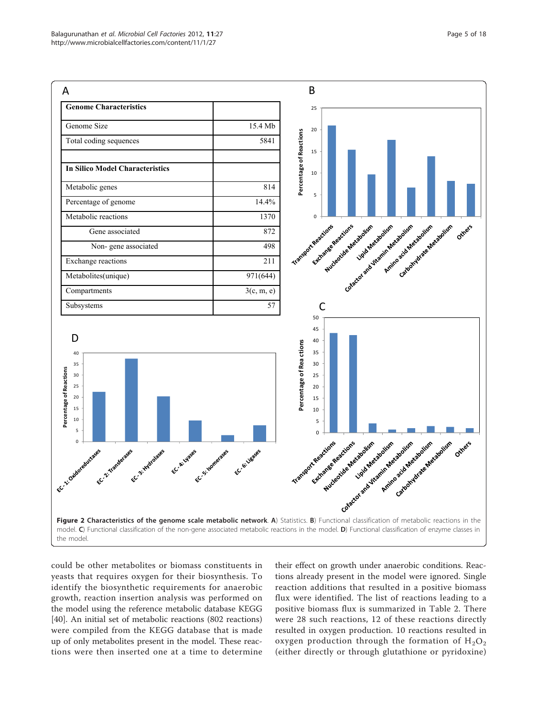<span id="page-4-0"></span>

the model.

could be other metabolites or biomass constituents in yeasts that requires oxygen for their biosynthesis. To identify the biosynthetic requirements for anaerobic growth, reaction insertion analysis was performed on the model using the reference metabolic database KEGG [[40\]](#page-16-0). An initial set of metabolic reactions (802 reactions) were compiled from the KEGG database that is made up of only metabolites present in the model. These reactions were then inserted one at a time to determine

their effect on growth under anaerobic conditions. Reactions already present in the model were ignored. Single reaction additions that resulted in a positive biomass flux were identified. The list of reactions leading to a positive biomass flux is summarized in Table [2.](#page-7-0) There were 28 such reactions, 12 of these reactions directly resulted in oxygen production. 10 reactions resulted in oxygen production through the formation of  $H_2O_2$ (either directly or through glutathione or pyridoxine)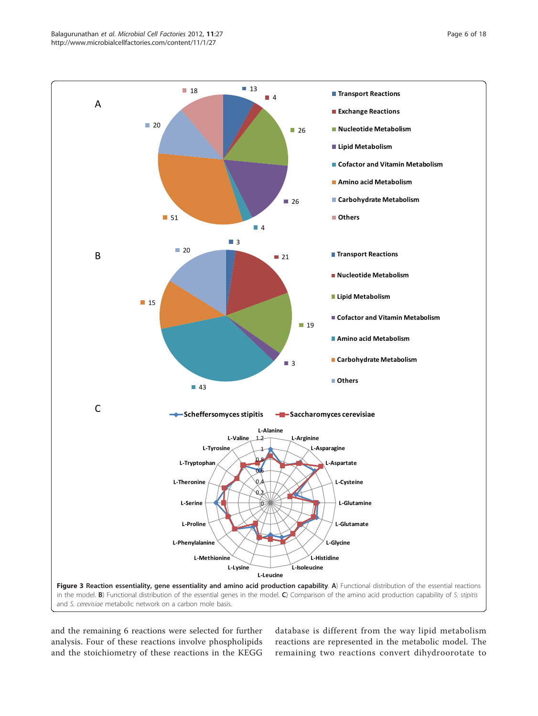<span id="page-5-0"></span>

and the remaining 6 reactions were selected for further analysis. Four of these reactions involve phospholipids and the stoichiometry of these reactions in the KEGG database is different from the way lipid metabolism reactions are represented in the metabolic model. The remaining two reactions convert dihydroorotate to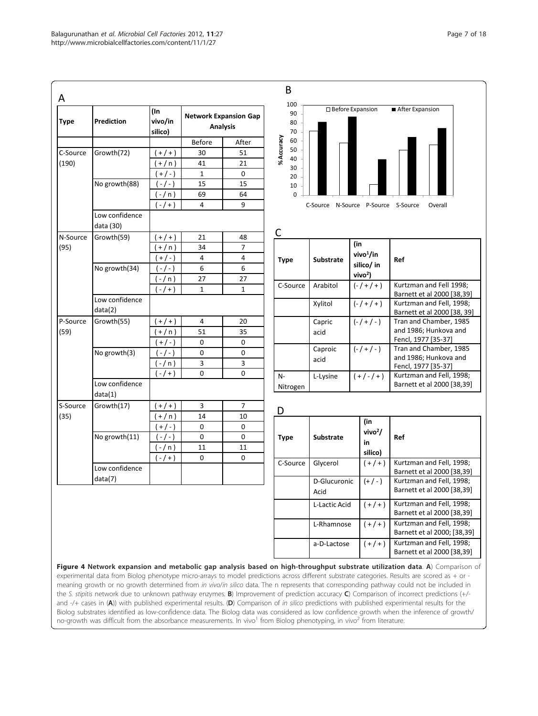<span id="page-6-0"></span>

| A           |                             |                           |                 |                              | B<br>100         |                  |                                     |                                                         |
|-------------|-----------------------------|---------------------------|-----------------|------------------------------|------------------|------------------|-------------------------------------|---------------------------------------------------------|
| <b>Type</b> | Prediction                  | (In<br>vivo/in<br>silico) | <b>Analysis</b> | <b>Network Expansion Gap</b> | 90<br>80<br>70   |                  | □ Before Expansion                  | After Expansion                                         |
|             |                             |                           | <b>Before</b>   | After                        | % Accuracy<br>60 |                  |                                     |                                                         |
| C-Source    | Growth(72)                  | $(+ / +)$                 | 30              | 51                           | 50<br>40         |                  |                                     |                                                         |
| (190)       |                             | $(+/n)$                   | 41              | 21                           | 30               |                  |                                     |                                                         |
|             |                             | $(+/-)$                   | $\mathbf{1}$    | $\mathbf 0$                  | 20               |                  |                                     |                                                         |
|             | No growth(88)               | $(-/-)$                   | 15              | 15                           | 10               |                  |                                     |                                                         |
|             |                             | $(-/n)$                   | 69              | 64                           | $\mathbf 0$      |                  |                                     |                                                         |
|             |                             | $(-/+)$                   | $\overline{4}$  | 9                            |                  |                  | C-Source N-Source P-Source S-Source | Overall                                                 |
|             | Low confidence<br>data (30) |                           |                 |                              |                  |                  |                                     |                                                         |
| N-Source    | Growth(59)                  | $(+ / +)$                 | 21              | 48                           | C                |                  |                                     |                                                         |
| (95)        |                             | $(+/n)$                   | 34              | $\overline{7}$               |                  |                  | (in                                 |                                                         |
|             |                             | $(+/-)$                   | 4               | 4                            | <b>Type</b>      | <b>Substrate</b> | vivo <sup>1</sup> /in               | Ref                                                     |
|             | No growth(34)               | $(-/-)$                   | 6               | 6                            |                  |                  | silico/ in                          |                                                         |
|             |                             | $(-/n)$                   | 27              | 27                           |                  |                  | vivo <sup>2</sup>                   |                                                         |
|             |                             | $(-/+)$                   | $\mathbf{1}$    | 1                            | C-Source         | Arabitol         | $(-/+/+)$                           | Kurtzman and Fell 1998;                                 |
|             | Low confidence              |                           |                 |                              |                  | Xylitol          | $(-/+/+)$                           | Barnett et al 2000 [38,39]<br>Kurtzman and Fell, 1998;  |
|             | data(2)                     |                           |                 |                              |                  |                  |                                     | Barnett et al 2000 [38, 39]                             |
| P-Source    | Growth(55)                  | $(+ / +)$                 | 4               | 20                           |                  | Capric           | $(-/+/-)$                           | Tran and Chamber, 1985                                  |
| (59)        |                             | $(+/n)$                   | 51              | 35                           |                  | acid             |                                     | and 1986; Hunkova and                                   |
|             |                             | $(+/-)$                   | 0               | 0                            |                  |                  |                                     | Fencl, 1977 [35-37]                                     |
|             | No growth(3)                | $(-/-)$                   | 0               | $\mathbf 0$                  |                  | Caproic          | $(-/+/-)$                           | Tran and Chamber, 1985                                  |
|             |                             | (-/n)                     | 3               | 3                            | acid             |                  |                                     | and 1986; Hunkova and<br>Fencl, 1977 [35-37]            |
|             |                             | $(-/+)$                   | 0               | $\mathbf 0$                  | N-               | L-Lysine         | $(+/-/+)$                           | Kurtzman and Fell, 1998;                                |
|             | Low confidence              |                           |                 |                              | Nitrogen         |                  |                                     | Barnett et al 2000 [38,39]                              |
|             | data(1)                     |                           |                 |                              |                  |                  |                                     |                                                         |
| S-Source    | Growth(17)                  | $(+ / +)$                 | 3               | $\overline{7}$               |                  |                  |                                     |                                                         |
| (35)        |                             | $(+/n)$                   | 14              | 10                           | D                |                  |                                     |                                                         |
|             |                             | $(+/-)$                   | $\pmb{0}$       | 0                            |                  |                  | (in                                 |                                                         |
|             | No growth(11)               | $(-/-)$                   | 0               | 0                            | <b>Type</b>      | <b>Substrate</b> | vivo <sup>2</sup> /                 | Ref                                                     |
|             |                             | $(-/n)$                   | 11              | 11                           |                  |                  | in                                  |                                                         |
|             |                             | $(-/ + )$                 | $\mathbf 0$     | 0                            |                  |                  | silico)                             | Kurtzman and Fell, 1998;                                |
|             | Low confidence              |                           |                 |                              | C-Source         | Glycerol         | $(+/+)$                             | Barnett et al 2000 [38,39]                              |
|             | data(7)                     |                           |                 |                              |                  | D-Glucuronic     | $(+ / -)$                           | Kurtzman and Fell, 1998;                                |
|             |                             |                           |                 |                              |                  | Acid             |                                     | Barnett et al 2000 [38,39]                              |
|             |                             |                           |                 |                              |                  | L-Lactic Acid    | $(+ / +)$                           | Kurtzman and Fell, 1998;<br>Barnett et al 2000 [38,39]  |
|             |                             |                           |                 |                              |                  | L-Rhamnose       | $(+ / +)$                           | Kurtzman and Fell, 1998;<br>Barnett et al 2000; [38,39] |
|             |                             |                           |                 |                              |                  | a-D-Lactose      | $(+ / +)$                           | Kurtzman and Fell, 1998;<br>Barnett et al 2000 [38,39]  |

Figure 4 Network expansion and metabolic gap analysis based on high-throughput substrate utilization data. A) Comparison of experimental data from Biolog phenotype micro-arrays to model predictions across different substrate categories. Results are scored as + or meaning growth or no growth determined from *in vivo*/*in silico* data. The n represents that corresponding pathway could not be included in the *S. stipitis* network due to unknown pathway enzymes. B) Improvement of prediction accuracy C) Comparison of incorrect predictions (+/ and -/+ cases in (A)) with published experimental results. (D) Comparison of *in silico* predictions with published experimental results for the Biolog substrates identified as low-confidence data. The Biolog data was considered as low confidence growth when the inference of growth/ no-growth was difficult from the absorbance measurements. In vivo<sup>1</sup> from Biolog phenotyping, in vivo<sup>2</sup> from literature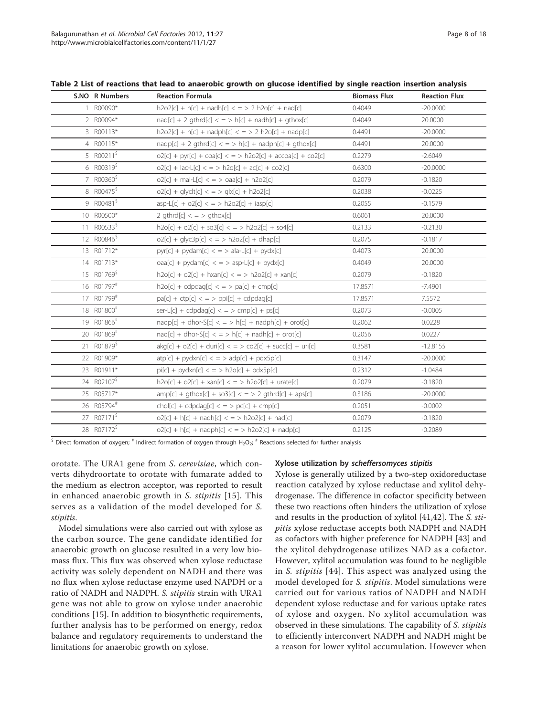|              | S.NO R Numbers          | <b>Reaction Formula</b>                                                        | <b>Biomass Flux</b> | <b>Reaction Flux</b> |
|--------------|-------------------------|--------------------------------------------------------------------------------|---------------------|----------------------|
| $\mathbf{1}$ | R00090*                 | $h2o2[c] + h[c] + nadh[c] <$ = > 2 h2o[c] + nad[c]                             | 0.4049              | $-20.0000$           |
|              | 2 R00094*               | $nad[c] + 2 gthrd[c] < = > h[c] + nadh[c] + gthox[c]$                          | 0.4049              | 20.0000              |
|              | 3 R00113*               | $h2o2[c] + h[c] + nadph[c] < 0.2 h2o[c] + nadp[c]$                             | 0.4491              | $-20.0000$           |
|              | 4 R00115*               | $nab[c] + 2 gthrd[c] < = > h[c] + nabch[c] + gthox[c]$                         | 0.4491              | 20.0000              |
|              | 5 R00211 <sup>\$</sup>  | $o2[c] + pyr[c] + coa[c] < = > h2o2[c] + accoa[c] + co2[c]$                    | 0.2279              | $-2.6049$            |
|              | 6 R00319 <sup>\$</sup>  | $o2[c] +  ac-L[c]  < 100[c] + a[c] + co2[c]$                                   | 0.6300              | $-20.0000$           |
|              | 7 R00360 <sup>\$</sup>  | $o2[c]$ + mal-L[c] < = > oaa[c] + h2o2[c]                                      | 0.2079              | $-0.1820$            |
|              | 8 R00475 <sup>\$</sup>  | $o2[c] + q vclt[c] <  c $ and $q v[c] + h2o2[c]$                               | 0.2038              | $-0.0225$            |
|              | 9 R00481 <sup>\$</sup>  | $asp-L[c] + o2[c] < = > h2o2[c] + iasp[c]$                                     | 0.2055              | $-0.1579$            |
|              | 10 R00500*              | 2 qthrd[c] $\langle$ = > qthox[c]                                              | 0.6061              | 20.0000              |
|              | 11 R00533 <sup>\$</sup> | $h2o[c] + o2[c] + so3[c] < 0.02[c] + so4[c]$                                   | 0.2133              | $-0.2130$            |
|              | 12 R00846 <sup>\$</sup> | $o2[c] + q vc3p[c] <  b>1 $ h2o2[c] + dhap[c]                                  | 0.2075              | $-0.1817$            |
|              | 13 R01712*              | $pyr[c]$ + $pydam[c]$ < = > ala-L[c] + $pydx[c]$                               | 0.4073              | 20.0000              |
|              | 14 R01713*              | $\text{oa}[c] + \text{pydam}[c] < \text{=} > \text{asp-L}[c] + \text{pydx}[c]$ | 0.4049              | 20.0000              |
|              | 15 R01769 <sup>\$</sup> | $h2o[c] + o2[c] + hxan[c] < = > h2o2[c] + xan[c]$                              | 0.2079              | $-0.1820$            |
|              | 16 R01797#              | $h2o[c] + cdpdaq[c] < = > pa[c] + cmp[c]$                                      | 17.8571             | $-7.4901$            |
|              | 17 R01799#              | $pa[c] + ctp[c] < = > pp[i] + cdpdaq[c]$                                       | 17.8571             | 7.5572               |
|              | 18 R01800#              | $ser-L[c] + cdpdaq[c] < = > cmp[c] + ps[c]$                                    | 0.2073              | $-0.0005$            |
|              | 19 R01866#              | $nadp[c] + dhor-S[c] < 0 > h[c] + nadph[c] + orot[c]$                          | 0.2062              | 0.0228               |
|              | 20 R01869#              | $nad[c] + dhor-S[c] < = > h[c] + nadh[c] + orot[c]$                            | 0.2056              | 0.0227               |
|              | 21 R01879 <sup>\$</sup> | $akq[c] + o2[c] + duri[c] < = > co2[c] + succ[c] + uri[c]$                     | 0.3581              | $-12.8155$           |
|              | 22 R01909*              | $atp[c] + pydxn[c] < = >adp[c] + pdx5p[c]$                                     | 0.3147              | $-20.0000$           |
|              | 23 R01911*              | $pi[c] + pydxn[c] < = > h2o[c] + pdx5p[c]$                                     | 0.2312              | $-1.0484$            |
|              | 24 R02107 <sup>5</sup>  | $h2o[c] + o2[c] + xan[c] < 0.02[c] + urate[c]$                                 | 0.2079              | $-0.1820$            |
|              | 25 R05717*              | $amp[c] + qthox[c] + so3[c] < z > 2 qthrd[c] + aps[c]$                         | 0.3186              | $-20.0000$           |
|              | 26 R05794#              | $chol[c]$ + $cdpoda[c]$ < = > $pc[c]$ + $cmp[c]$                               | 0.2051              | $-0.0002$            |
|              | 27 R07171 <sup>\$</sup> | $o2[c] + h[c] + nadh[c] <$ = > h2o2[c] + nad[c]                                | 0.2079              | $-0.1820$            |
|              | 28 R07172 <sup>\$</sup> | $o2[c] + h[c] + nadph[c] <$ = > h2o2[c] + nadp[c]                              | 0.2125              | $-0.2089$            |

<span id="page-7-0"></span>Table 2 List of reactions that lead to anaerobic growth on glucose identified by single reaction insertion analysis

 $^5$  Direct formation of oxygen;  $^{\#}$  Indirect formation of oxygen through H<sub>2</sub>O<sub>2</sub>;  $^{\#}$  Reactions selected for further analysis

orotate. The URA1 gene from S. cerevisiae, which converts dihydroortate to orotate with fumarate added to the medium as electron acceptor, was reported to result in enhanced anaerobic growth in S. stipitis [[15](#page-15-0)]. This serves as a validation of the model developed for S. stipitis.

Model simulations were also carried out with xylose as the carbon source. The gene candidate identified for anaerobic growth on glucose resulted in a very low biomass flux. This flux was observed when xylose reductase activity was solely dependent on NADH and there was no flux when xylose reductase enzyme used NAPDH or a ratio of NADH and NADPH. S. stipitis strain with URA1 gene was not able to grow on xylose under anaerobic conditions [\[15](#page-15-0)]. In addition to biosynthetic requirements, further analysis has to be performed on energy, redox balance and regulatory requirements to understand the limitations for anaerobic growth on xylose.

#### Xylose utilization by scheffersomyces stipitis

Xylose is generally utilized by a two-step oxidoreductase reaction catalyzed by xylose reductase and xylitol dehydrogenase. The difference in cofactor specificity between these two reactions often hinders the utilization of xylose and results in the production of xylitol [\[41,42](#page-16-0)]. The S. stipitis xylose reductase accepts both NADPH and NADH as cofactors with higher preference for NADPH [[43](#page-16-0)] and the xylitol dehydrogenase utilizes NAD as a cofactor. However, xylitol accumulation was found to be negligible in S. stipitis [[44\]](#page-16-0). This aspect was analyzed using the model developed for S. stipitis. Model simulations were carried out for various ratios of NADPH and NADH dependent xylose reductase and for various uptake rates of xylose and oxygen. No xylitol accumulation was observed in these simulations. The capability of S. stipitis to efficiently interconvert NADPH and NADH might be a reason for lower xylitol accumulation. However when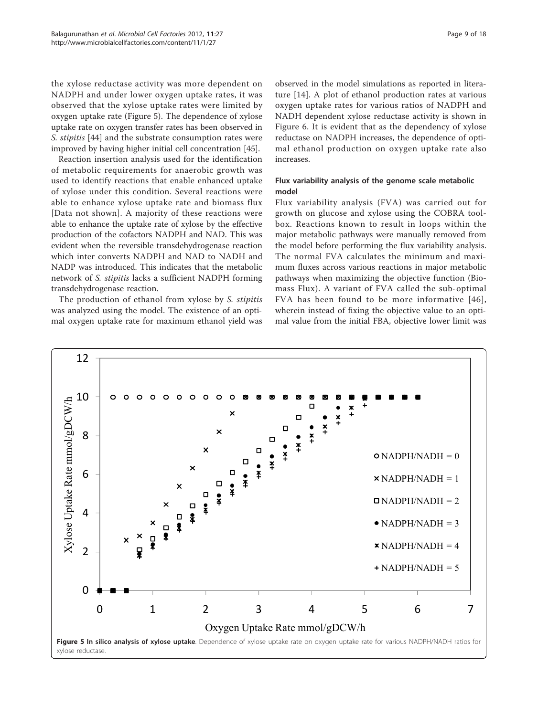the xylose reductase activity was more dependent on NADPH and under lower oxygen uptake rates, it was observed that the xylose uptake rates were limited by oxygen uptake rate (Figure 5). The dependence of xylose uptake rate on oxygen transfer rates has been observed in S. stipitis [\[44](#page-16-0)] and the substrate consumption rates were improved by having higher initial cell concentration [[45\]](#page-16-0).

Reaction insertion analysis used for the identification of metabolic requirements for anaerobic growth was used to identify reactions that enable enhanced uptake of xylose under this condition. Several reactions were able to enhance xylose uptake rate and biomass flux [Data not shown]. A majority of these reactions were able to enhance the uptake rate of xylose by the effective production of the cofactors NADPH and NAD. This was evident when the reversible transdehydrogenase reaction which inter converts NADPH and NAD to NADH and NADP was introduced. This indicates that the metabolic network of S. stipitis lacks a sufficient NADPH forming transdehydrogenase reaction.

The production of ethanol from xylose by S. stipitis was analyzed using the model. The existence of an optimal oxygen uptake rate for maximum ethanol yield was

observed in the model simulations as reported in literature [\[14\]](#page-15-0). A plot of ethanol production rates at various oxygen uptake rates for various ratios of NADPH and NADH dependent xylose reductase activity is shown in Figure [6.](#page-9-0) It is evident that as the dependency of xylose reductase on NADPH increases, the dependence of optimal ethanol production on oxygen uptake rate also increases.

## Flux variability analysis of the genome scale metabolic model

Flux variability analysis (FVA) was carried out for growth on glucose and xylose using the COBRA toolbox. Reactions known to result in loops within the major metabolic pathways were manually removed from the model before performing the flux variability analysis. The normal FVA calculates the minimum and maximum fluxes across various reactions in major metabolic pathways when maximizing the objective function (Biomass Flux). A variant of FVA called the sub-optimal FVA has been found to be more informative [[46\]](#page-16-0), wherein instead of fixing the objective value to an optimal value from the initial FBA, objective lower limit was

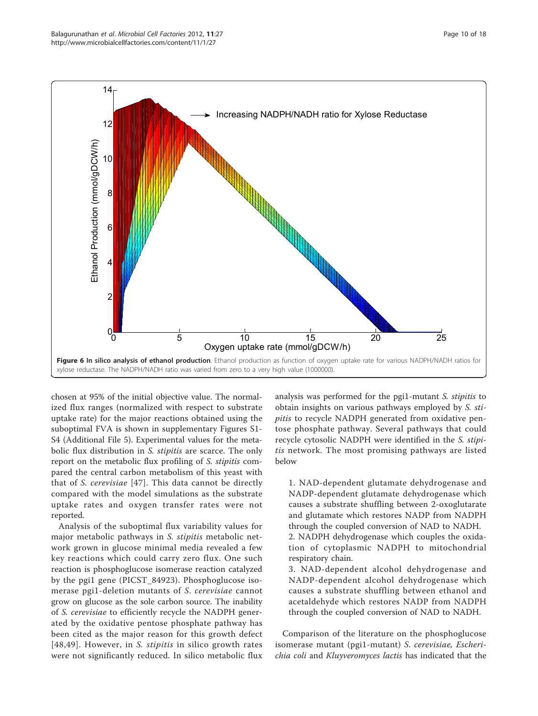<span id="page-9-0"></span>

chosen at 95% of the initial objective value. The normalized flux ranges (normalized with respect to substrate uptake rate) for the major reactions obtained using the suboptimal FVA is shown in supplementary Figures S1- S4 (Additional File [5\)](#page-15-0). Experimental values for the metabolic flux distribution in S. stipitis are scarce. The only report on the metabolic flux profiling of S. stipitis compared the central carbon metabolism of this yeast with that of S. cerevisiae [[47](#page-16-0)]. This data cannot be directly compared with the model simulations as the substrate uptake rates and oxygen transfer rates were not reported.

Analysis of the suboptimal flux variability values for major metabolic pathways in S. stipitis metabolic network grown in glucose minimal media revealed a few key reactions which could carry zero flux. One such reaction is phosphoglucose isomerase reaction catalyzed by the pgi1 gene (PICST\_84923). Phosphoglucose isomerase pgi1-deletion mutants of S. cerevisiae cannot grow on glucose as the sole carbon source. The inability of S. cerevisiae to efficiently recycle the NADPH generated by the oxidative pentose phosphate pathway has been cited as the major reason for this growth defect [[48,49\]](#page-16-0). However, in S. stipitis in silico growth rates were not significantly reduced. In silico metabolic flux analysis was performed for the pgi1-mutant S. stipitis to obtain insights on various pathways employed by S. stipitis to recycle NADPH generated from oxidative pentose phosphate pathway. Several pathways that could recycle cytosolic NADPH were identified in the S. stipitis network. The most promising pathways are listed below

1. NAD-dependent glutamate dehydrogenase and NADP-dependent glutamate dehydrogenase which causes a substrate shuffling between 2-oxoglutarate and glutamate which restores NADP from NADPH through the coupled conversion of NAD to NADH. 2. NADPH dehydrogenase which couples the oxidation of cytoplasmic NADPH to mitochondrial respiratory chain.

3. NAD-dependent alcohol dehydrogenase and NADP-dependent alcohol dehydrogenase which causes a substrate shuffling between ethanol and acetaldehyde which restores NADP from NADPH through the coupled conversion of NAD to NADH.

Comparison of the literature on the phosphoglucose isomerase mutant (pgi1-mutant) S. cerevisiae, Escherichia coli and Kluyveromyces lactis has indicated that the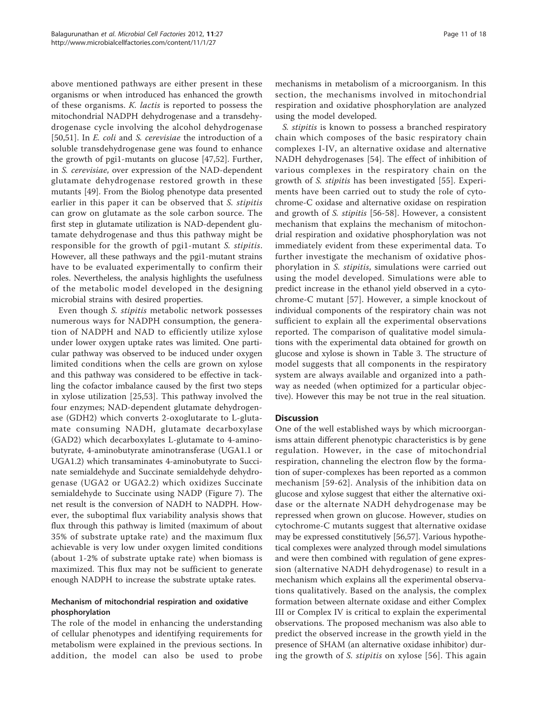above mentioned pathways are either present in these organisms or when introduced has enhanced the growth of these organisms. K. lactis is reported to possess the mitochondrial NADPH dehydrogenase and a transdehydrogenase cycle involving the alcohol dehydrogenase [[50,51\]](#page-16-0). In *E. coli* and *S. cerevisiae* the introduction of a soluble transdehydrogenase gene was found to enhance the growth of pgi1-mutants on glucose [[47](#page-16-0),[52\]](#page-16-0). Further, in S. cerevisiae, over expression of the NAD-dependent glutamate dehydrogenase restored growth in these mutants [\[49](#page-16-0)]. From the Biolog phenotype data presented earlier in this paper it can be observed that *S. stipitis* can grow on glutamate as the sole carbon source. The first step in glutamate utilization is NAD-dependent glutamate dehydrogenase and thus this pathway might be responsible for the growth of pgi1-mutant S. stipitis. However, all these pathways and the pgi1-mutant strains have to be evaluated experimentally to confirm their roles. Nevertheless, the analysis highlights the usefulness of the metabolic model developed in the designing microbial strains with desired properties.

Even though S. stipitis metabolic network possesses numerous ways for NADPH consumption, the generation of NADPH and NAD to efficiently utilize xylose under lower oxygen uptake rates was limited. One particular pathway was observed to be induced under oxygen limited conditions when the cells are grown on xylose and this pathway was considered to be effective in tackling the cofactor imbalance caused by the first two steps in xylose utilization [[25,53](#page-16-0)]. This pathway involved the four enzymes; NAD-dependent glutamate dehydrogenase (GDH2) which converts 2-oxoglutarate to L-glutamate consuming NADH, glutamate decarboxylase (GAD2) which decarboxylates L-glutamate to 4-aminobutyrate, 4-aminobutyrate aminotransferase (UGA1.1 or UGA1.2) which transaminates 4-aminobutyrate to Succinate semialdehyde and Succinate semialdehyde dehydrogenase (UGA2 or UGA2.2) which oxidizes Succinate semialdehyde to Succinate using NADP (Figure [7](#page-11-0)). The net result is the conversion of NADH to NADPH. However, the suboptimal flux variability analysis shows that flux through this pathway is limited (maximum of about 35% of substrate uptake rate) and the maximum flux achievable is very low under oxygen limited conditions (about 1-2% of substrate uptake rate) when biomass is maximized. This flux may not be sufficient to generate enough NADPH to increase the substrate uptake rates.

### Mechanism of mitochondrial respiration and oxidative phosphorylation

The role of the model in enhancing the understanding of cellular phenotypes and identifying requirements for metabolism were explained in the previous sections. In addition, the model can also be used to probe mechanisms in metabolism of a microorganism. In this section, the mechanisms involved in mitochondrial respiration and oxidative phosphorylation are analyzed using the model developed.

S. stipitis is known to possess a branched respiratory chain which composes of the basic respiratory chain complexes I-IV, an alternative oxidase and alternative NADH dehydrogenases [[54\]](#page-16-0). The effect of inhibition of various complexes in the respiratory chain on the growth of S. stipitis has been investigated [[55\]](#page-16-0). Experiments have been carried out to study the role of cytochrome-C oxidase and alternative oxidase on respiration and growth of S. stipitis [[56-58\]](#page-16-0). However, a consistent mechanism that explains the mechanism of mitochondrial respiration and oxidative phosphorylation was not immediately evident from these experimental data. To further investigate the mechanism of oxidative phosphorylation in S. stipitis, simulations were carried out using the model developed. Simulations were able to predict increase in the ethanol yield observed in a cytochrome-C mutant [\[57](#page-16-0)]. However, a simple knockout of individual components of the respiratory chain was not sufficient to explain all the experimental observations reported. The comparison of qualitative model simulations with the experimental data obtained for growth on glucose and xylose is shown in Table [3.](#page-11-0) The structure of model suggests that all components in the respiratory system are always available and organized into a pathway as needed (when optimized for a particular objective). However this may be not true in the real situation.

#### **Discussion**

One of the well established ways by which microorganisms attain different phenotypic characteristics is by gene regulation. However, in the case of mitochondrial respiration, channeling the electron flow by the formation of super-complexes has been reported as a common mechanism [[59-62\]](#page-16-0). Analysis of the inhibition data on glucose and xylose suggest that either the alternative oxidase or the alternate NADH dehydrogenase may be repressed when grown on glucose. However, studies on cytochrome-C mutants suggest that alternative oxidase may be expressed constitutively [[56,57](#page-16-0)]. Various hypothetical complexes were analyzed through model simulations and were then combined with regulation of gene expression (alternative NADH dehydrogenase) to result in a mechanism which explains all the experimental observations qualitatively. Based on the analysis, the complex formation between alternate oxidase and either Complex III or Complex IV is critical to explain the experimental observations. The proposed mechanism was also able to predict the observed increase in the growth yield in the presence of SHAM (an alternative oxidase inhibitor) during the growth of S. stipitis on xylose [[56](#page-16-0)]. This again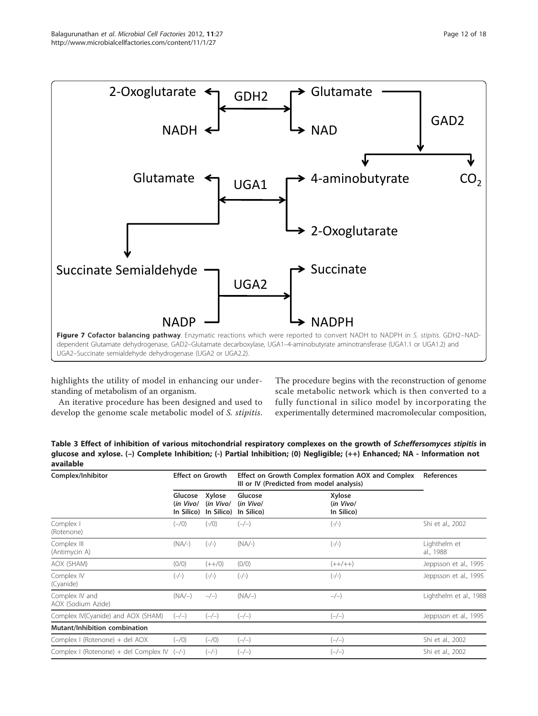<span id="page-11-0"></span>

highlights the utility of model in enhancing our understanding of metabolism of an organism.

An iterative procedure has been designed and used to develop the genome scale metabolic model of S. stipitis.

The procedure begins with the reconstruction of genome scale metabolic network which is then converted to a fully functional in silico model by incorporating the experimentally determined macromolecular composition,

Table 3 Effect of inhibition of various mitochondrial respiratory complexes on the growth of Scheffersomyces stipitis in glucose and xylose. (–) Complete Inhibition; (-) Partial Inhibition; (0) Negligible; (++) Enhanced; NA - Information not available

| ,,,,,,,,,                             |                         |                                              |                                                                                                 |                                   |                           |
|---------------------------------------|-------------------------|----------------------------------------------|-------------------------------------------------------------------------------------------------|-----------------------------------|---------------------------|
| Complex/Inhibitor                     | <b>Effect on Growth</b> |                                              | Effect on Growth Complex formation AOX and Complex<br>III or IV (Predicted from model analysis) | References                        |                           |
|                                       | Glucose<br>(in Vivo/    | Xylose<br>(in Vivo/<br>In Silico) In Silico) | Glucose<br>(in Vivo/<br>In Silico)                                                              | Xylose<br>(in Vivo/<br>In Silico) |                           |
| Complex I<br>(Rotenone)               | $(-/0)$                 | $(-/0)$                                      | $(-/-)$                                                                                         | $(-/-)$                           | Shi et al., 2002          |
| Complex III<br>(Antimycin A)          | $(NA/-)$                | $(-/-)$                                      | $(NA/-)$                                                                                        | $(-/-)$                           | Lighthelm et<br>al., 1988 |
| AOX (SHAM)                            | (0/0)                   | $(++/0)$                                     | (0/0)                                                                                           | $(++/++)$                         | Jeppsson et al., 1995     |
| Complex IV<br>(Cyanide)               | $(-/-)$                 | $(-/-)$                                      | $(-/-)$                                                                                         | $(-/-)$                           | Jeppsson et al., 1995     |
| Complex IV and<br>AOX (Sodium Azide)  | $(NA/-)$                | $-/-$ )                                      | $(NA/-)$                                                                                        | $-/-$ )                           | Lighthelm et al., 1988    |
| Complex IV(Cyanide) and AOX (SHAM)    | $(-/-)$                 | $(-/-)$                                      | $(-/-)$                                                                                         | $(-/-)$                           | Jeppsson et al., 1995     |
| <b>Mutant/Inhibition combination</b>  |                         |                                              |                                                                                                 |                                   |                           |
| Complex I (Rotenone) + del AOX        | $(-/0)$                 | $(-/0)$                                      | $(-/-)$                                                                                         | $(-/-)$                           | Shi et al., 2002          |
| Complex I (Rotenone) + del Complex IV | $(-/-)$                 | $(-/-)$                                      | $(-/-)$                                                                                         | $(-/-)$                           | Shi et al., 2002          |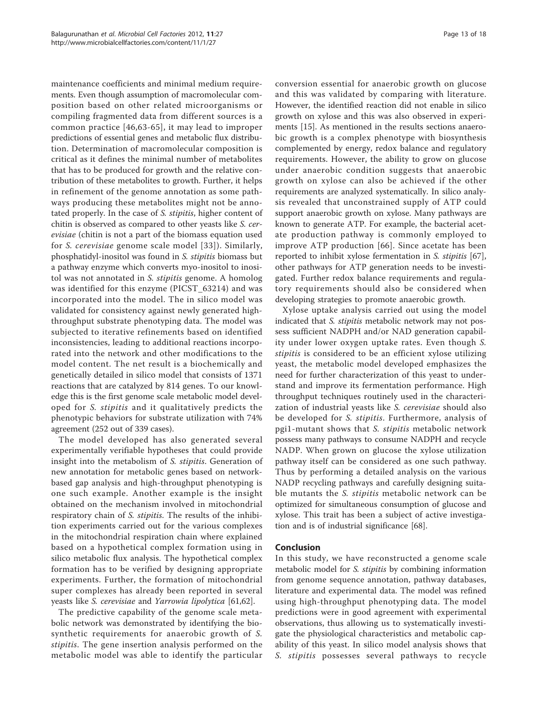maintenance coefficients and minimal medium requirements. Even though assumption of macromolecular composition based on other related microorganisms or compiling fragmented data from different sources is a common practice [[46](#page-16-0),[63](#page-16-0)-[65](#page-17-0)], it may lead to improper predictions of essential genes and metabolic flux distribution. Determination of macromolecular composition is critical as it defines the minimal number of metabolites that has to be produced for growth and the relative contribution of these metabolites to growth. Further, it helps in refinement of the genome annotation as some pathways producing these metabolites might not be annotated properly. In the case of S. stipitis, higher content of chitin is observed as compared to other yeasts like S. cerevisiae (chitin is not a part of the biomass equation used for S. cerevisiae genome scale model [[33](#page-16-0)]). Similarly, phosphatidyl-inositol was found in S. stipitis biomass but a pathway enzyme which converts myo-inositol to inositol was not annotated in S. stipitis genome. A homolog was identified for this enzyme (PICST\_63214) and was incorporated into the model. The in silico model was validated for consistency against newly generated highthroughput substrate phenotyping data. The model was subjected to iterative refinements based on identified inconsistencies, leading to additional reactions incorporated into the network and other modifications to the model content. The net result is a biochemically and genetically detailed in silico model that consists of 1371 reactions that are catalyzed by 814 genes. To our knowledge this is the first genome scale metabolic model developed for S. stipitis and it qualitatively predicts the phenotypic behaviors for substrate utilization with 74% agreement (252 out of 339 cases).

The model developed has also generated several experimentally verifiable hypotheses that could provide insight into the metabolism of S. stipitis. Generation of new annotation for metabolic genes based on networkbased gap analysis and high-throughput phenotyping is one such example. Another example is the insight obtained on the mechanism involved in mitochondrial respiratory chain of S. stipitis. The results of the inhibition experiments carried out for the various complexes in the mitochondrial respiration chain where explained based on a hypothetical complex formation using in silico metabolic flux analysis. The hypothetical complex formation has to be verified by designing appropriate experiments. Further, the formation of mitochondrial super complexes has already been reported in several yeasts like S. cerevisiae and Yarrowia lipolytica [[61,62](#page-16-0)].

The predictive capability of the genome scale metabolic network was demonstrated by identifying the biosynthetic requirements for anaerobic growth of S. stipitis. The gene insertion analysis performed on the metabolic model was able to identify the particular conversion essential for anaerobic growth on glucose and this was validated by comparing with literature. However, the identified reaction did not enable in silico growth on xylose and this was also observed in experiments [[15\]](#page-15-0). As mentioned in the results sections anaerobic growth is a complex phenotype with biosynthesis complemented by energy, redox balance and regulatory requirements. However, the ability to grow on glucose under anaerobic condition suggests that anaerobic growth on xylose can also be achieved if the other requirements are analyzed systematically. In silico analysis revealed that unconstrained supply of ATP could support anaerobic growth on xylose. Many pathways are known to generate ATP. For example, the bacterial acetate production pathway is commonly employed to improve ATP production [\[66](#page-17-0)]. Since acetate has been reported to inhibit xylose fermentation in S. stipitis [\[67](#page-17-0)], other pathways for ATP generation needs to be investigated. Further redox balance requirements and regulatory requirements should also be considered when developing strategies to promote anaerobic growth.

Xylose uptake analysis carried out using the model indicated that *S. stipitis* metabolic network may not possess sufficient NADPH and/or NAD generation capability under lower oxygen uptake rates. Even though S. stipitis is considered to be an efficient xylose utilizing yeast, the metabolic model developed emphasizes the need for further characterization of this yeast to understand and improve its fermentation performance. High throughput techniques routinely used in the characterization of industrial yeasts like *S. cerevisiae* should also be developed for S. stipitis. Furthermore, analysis of pgi1-mutant shows that S. stipitis metabolic network possess many pathways to consume NADPH and recycle NADP. When grown on glucose the xylose utilization pathway itself can be considered as one such pathway. Thus by performing a detailed analysis on the various NADP recycling pathways and carefully designing suitable mutants the *S. stipitis* metabolic network can be optimized for simultaneous consumption of glucose and xylose. This trait has been a subject of active investigation and is of industrial significance [\[68](#page-17-0)].

#### Conclusion

In this study, we have reconstructed a genome scale metabolic model for *S. stipitis* by combining information from genome sequence annotation, pathway databases, literature and experimental data. The model was refined using high-throughput phenotyping data. The model predictions were in good agreement with experimental observations, thus allowing us to systematically investigate the physiological characteristics and metabolic capability of this yeast. In silico model analysis shows that S. stipitis possesses several pathways to recycle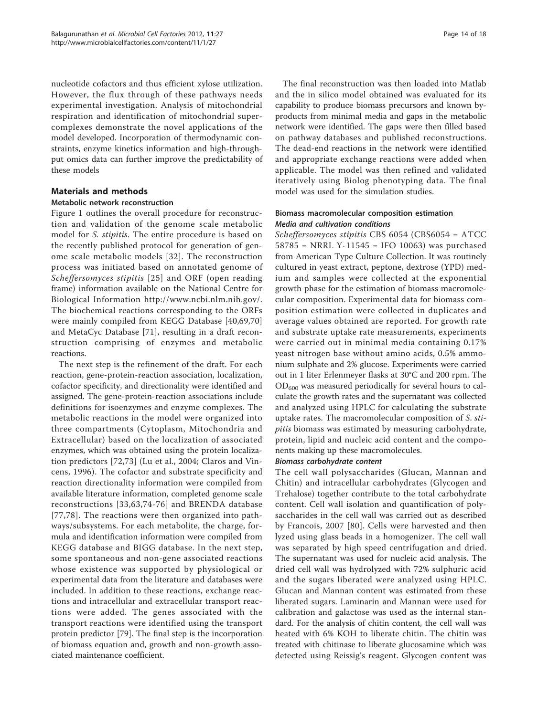nucleotide cofactors and thus efficient xylose utilization. However, the flux through of these pathways needs experimental investigation. Analysis of mitochondrial respiration and identification of mitochondrial supercomplexes demonstrate the novel applications of the model developed. Incorporation of thermodynamic constraints, enzyme kinetics information and high-throughput omics data can further improve the predictability of these models

#### Materials and methods

#### Metabolic network reconstruction

Figure [1](#page-2-0) outlines the overall procedure for reconstruction and validation of the genome scale metabolic model for S. stipitis. The entire procedure is based on the recently published protocol for generation of genome scale metabolic models [[32](#page-16-0)]. The reconstruction process was initiated based on annotated genome of Scheffersomyces stipitis [[25\]](#page-16-0) and ORF (open reading frame) information available on the National Centre for Biological Information<http://www.ncbi.nlm.nih.gov/>. The biochemical reactions corresponding to the ORFs were mainly compiled from KEGG Database [[40,](#page-16-0)[69,70](#page-17-0)] and MetaCyc Database [[71](#page-17-0)], resulting in a draft reconstruction comprising of enzymes and metabolic reactions.

The next step is the refinement of the draft. For each reaction, gene-protein-reaction association, localization, cofactor specificity, and directionality were identified and assigned. The gene-protein-reaction associations include definitions for isoenzymes and enzyme complexes. The metabolic reactions in the model were organized into three compartments (Cytoplasm, Mitochondria and Extracellular) based on the localization of associated enzymes, which was obtained using the protein localization predictors [[72,73](#page-17-0)] (Lu et al., 2004; Claros and Vincens, 1996). The cofactor and substrate specificity and reaction directionality information were compiled from available literature information, completed genome scale reconstructions [[33,63,](#page-16-0)[74-76](#page-17-0)] and BRENDA database [[77,78](#page-17-0)]. The reactions were then organized into pathways/subsystems. For each metabolite, the charge, formula and identification information were compiled from KEGG database and BIGG database. In the next step, some spontaneous and non-gene associated reactions whose existence was supported by physiological or experimental data from the literature and databases were included. In addition to these reactions, exchange reactions and intracellular and extracellular transport reactions were added. The genes associated with the transport reactions were identified using the transport protein predictor [[79](#page-17-0)]. The final step is the incorporation of biomass equation and, growth and non-growth associated maintenance coefficient.

The final reconstruction was then loaded into Matlab and the in silico model obtained was evaluated for its capability to produce biomass precursors and known byproducts from minimal media and gaps in the metabolic network were identified. The gaps were then filled based on pathway databases and published reconstructions. The dead-end reactions in the network were identified and appropriate exchange reactions were added when applicable. The model was then refined and validated iteratively using Biolog phenotyping data. The final model was used for the simulation studies.

#### Biomass macromolecular composition estimation Media and cultivation conditions

Scheffersomyces stipitis CBS 6054 (CBS6054 = ATCC 58785 = NRRL Y-11545 = IFO 10063) was purchased from American Type Culture Collection. It was routinely cultured in yeast extract, peptone, dextrose (YPD) medium and samples were collected at the exponential growth phase for the estimation of biomass macromolecular composition. Experimental data for biomass composition estimation were collected in duplicates and average values obtained are reported. For growth rate and substrate uptake rate measurements, experiments were carried out in minimal media containing 0.17% yeast nitrogen base without amino acids, 0.5% ammonium sulphate and 2% glucose. Experiments were carried out in 1 liter Erlenmeyer flasks at 30°C and 200 rpm. The  $OD_{600}$  was measured periodically for several hours to calculate the growth rates and the supernatant was collected and analyzed using HPLC for calculating the substrate uptake rates. The macromolecular composition of S. stipitis biomass was estimated by measuring carbohydrate, protein, lipid and nucleic acid content and the components making up these macromolecules.

#### Biomass carbohydrate content

The cell wall polysaccharides (Glucan, Mannan and Chitin) and intracellular carbohydrates (Glycogen and Trehalose) together contribute to the total carbohydrate content. Cell wall isolation and quantification of polysaccharides in the cell wall was carried out as described by Francois, 2007 [[80](#page-17-0)]. Cells were harvested and then lyzed using glass beads in a homogenizer. The cell wall was separated by high speed centrifugation and dried. The supernatant was used for nucleic acid analysis. The dried cell wall was hydrolyzed with 72% sulphuric acid and the sugars liberated were analyzed using HPLC. Glucan and Mannan content was estimated from these liberated sugars. Laminarin and Mannan were used for calibration and galactose was used as the internal standard. For the analysis of chitin content, the cell wall was heated with 6% KOH to liberate chitin. The chitin was treated with chitinase to liberate glucosamine which was detected using Reissig's reagent. Glycogen content was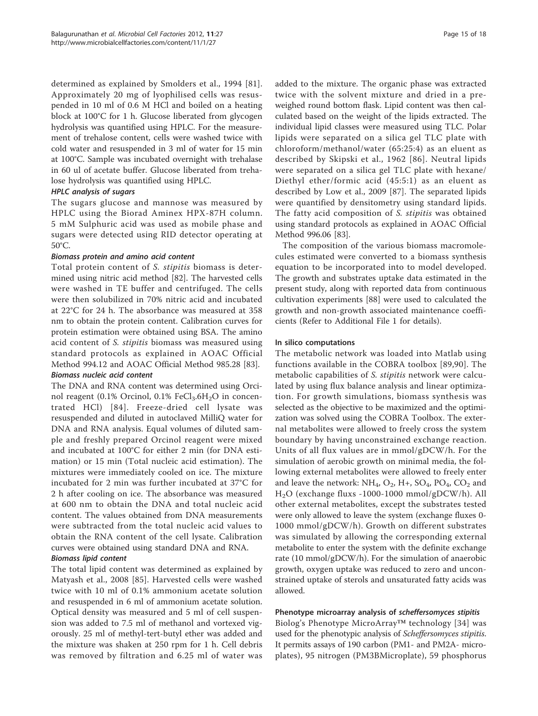determined as explained by Smolders et al., 1994 [[81](#page-17-0)]. Approximately 20 mg of lyophilised cells was resuspended in 10 ml of 0.6 M HCl and boiled on a heating block at 100°C for 1 h. Glucose liberated from glycogen hydrolysis was quantified using HPLC. For the measurement of trehalose content, cells were washed twice with cold water and resuspended in 3 ml of water for 15 min at 100°C. Sample was incubated overnight with trehalase in 60 ul of acetate buffer. Glucose liberated from trehalose hydrolysis was quantified using HPLC.

#### HPLC analysis of sugars

The sugars glucose and mannose was measured by HPLC using the Biorad Aminex HPX-87H column. 5 mM Sulphuric acid was used as mobile phase and sugars were detected using RID detector operating at 50°C.

#### Biomass protein and amino acid content

Total protein content of S. stipitis biomass is determined using nitric acid method [\[82\]](#page-17-0). The harvested cells were washed in TE buffer and centrifuged. The cells were then solubilized in 70% nitric acid and incubated at 22°C for 24 h. The absorbance was measured at 358 nm to obtain the protein content. Calibration curves for protein estimation were obtained using BSA. The amino acid content of *S. stipitis* biomass was measured using standard protocols as explained in AOAC Official Method 994.12 and AOAC Official Method 985.28 [[83](#page-17-0)].

#### Biomass nucleic acid content

The DNA and RNA content was determined using Orcinol reagent (0.1% Orcinol, 0.1% FeCl<sub>3</sub>.6H<sub>2</sub>O in concentrated HCl) [[84\]](#page-17-0). Freeze-dried cell lysate was resuspended and diluted in autoclaved MilliQ water for DNA and RNA analysis. Equal volumes of diluted sample and freshly prepared Orcinol reagent were mixed and incubated at 100°C for either 2 min (for DNA estimation) or 15 min (Total nucleic acid estimation). The mixtures were immediately cooled on ice. The mixture incubated for 2 min was further incubated at 37°C for 2 h after cooling on ice. The absorbance was measured at 600 nm to obtain the DNA and total nucleic acid content. The values obtained from DNA measurements were subtracted from the total nucleic acid values to obtain the RNA content of the cell lysate. Calibration curves were obtained using standard DNA and RNA.

#### Biomass lipid content

The total lipid content was determined as explained by Matyash et al., 2008 [\[85\]](#page-17-0). Harvested cells were washed twice with 10 ml of 0.1% ammonium acetate solution and resuspended in 6 ml of ammonium acetate solution. Optical density was measured and 5 ml of cell suspension was added to 7.5 ml of methanol and vortexed vigorously. 25 ml of methyl-tert-butyl ether was added and the mixture was shaken at 250 rpm for 1 h. Cell debris was removed by filtration and 6.25 ml of water was added to the mixture. The organic phase was extracted twice with the solvent mixture and dried in a preweighed round bottom flask. Lipid content was then calculated based on the weight of the lipids extracted. The individual lipid classes were measured using TLC. Polar lipids were separated on a silica gel TLC plate with chloroform/methanol/water (65:25:4) as an eluent as described by Skipski et al., 1962 [[86\]](#page-17-0). Neutral lipids were separated on a silica gel TLC plate with hexane/ Diethyl ether/formic acid (45:5:1) as an eluent as described by Low et al., 2009 [[87\]](#page-17-0). The separated lipids were quantified by densitometry using standard lipids. The fatty acid composition of *S. stipitis* was obtained using standard protocols as explained in AOAC Official Method 996.06 [\[83\]](#page-17-0).

The composition of the various biomass macromolecules estimated were converted to a biomass synthesis equation to be incorporated into to model developed. The growth and substrates uptake data estimated in the present study, along with reported data from continuous cultivation experiments [\[88](#page-17-0)] were used to calculated the growth and non-growth associated maintenance coefficients (Refer to Additional File [1](#page-15-0) for details).

#### In silico computations

The metabolic network was loaded into Matlab using functions available in the COBRA toolbox [[89,90](#page-17-0)]. The metabolic capabilities of S. stipitis network were calculated by using flux balance analysis and linear optimization. For growth simulations, biomass synthesis was selected as the objective to be maximized and the optimization was solved using the COBRA Toolbox. The external metabolites were allowed to freely cross the system boundary by having unconstrained exchange reaction. Units of all flux values are in mmol/gDCW/h. For the simulation of aerobic growth on minimal media, the following external metabolites were allowed to freely enter and leave the network:  $NH_4$ ,  $O_2$ ,  $H_+$ ,  $SO_4$ ,  $PO_4$ ,  $CO_2$  and H2O (exchange fluxs -1000-1000 mmol/gDCW/h). All other external metabolites, except the substrates tested were only allowed to leave the system (exchange fluxes 0- 1000 mmol/gDCW/h). Growth on different substrates was simulated by allowing the corresponding external metabolite to enter the system with the definite exchange rate (10 mmol/gDCW/h). For the simulation of anaerobic growth, oxygen uptake was reduced to zero and unconstrained uptake of sterols and unsaturated fatty acids was allowed.

## Phenotype microarray analysis of scheffersomyces stipitis

Biolog's Phenotype MicroArray™ technology [\[34\]](#page-16-0) was used for the phenotypic analysis of Scheffersomyces stipitis. It permits assays of 190 carbon (PM1- and PM2A- microplates), 95 nitrogen (PM3BMicroplate), 59 phosphorus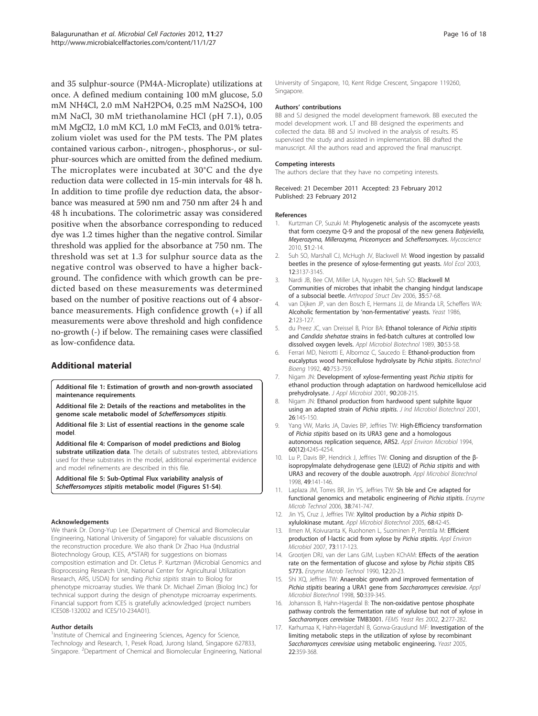<span id="page-15-0"></span>and 35 sulphur-source (PM4A-Microplate) utilizations at once. A defined medium containing 100 mM glucose, 5.0 mM NH4Cl, 2.0 mM NaH2PO4, 0.25 mM Na2SO4, 100 mM NaCl, 30 mM triethanolamine HCl (pH 7.1), 0.05 mM MgCl2, 1.0 mM KCl, 1.0 mM FeCl3, and 0.01% tetrazolium violet was used for the PM tests. The PM plates contained various carbon-, nitrogen-, phosphorus-, or sulphur-sources which are omitted from the defined medium. The microplates were incubated at 30°C and the dye reduction data were collected in 15-min intervals for 48 h. In addition to time profile dye reduction data, the absorbance was measured at 590 nm and 750 nm after 24 h and 48 h incubations. The colorimetric assay was considered positive when the absorbance corresponding to reduced dye was 1.2 times higher than the negative control. Similar threshold was applied for the absorbance at 750 nm. The threshold was set at 1.3 for sulphur source data as the negative control was observed to have a higher background. The confidence with which growth can be predicted based on these measurements was determined based on the number of positive reactions out of 4 absorbance measurements. High confidence growth (+) if all measurements were above threshold and high confidence no-growth (-) if below. The remaining cases were classified as low-confidence data.

## Additional material

[Additional file 1: E](http://www.biomedcentral.com/content/supplementary/1475-2859-11-27-S1.PDF)stimation of growth and non-growth associated maintenance requirements.

[Additional file 2: D](http://www.biomedcentral.com/content/supplementary/1475-2859-11-27-S2.XLS)etails of the reactions and metabolites in the genome scale metabolic model of Scheffersomyces stipitis.

[Additional file 3: L](http://www.biomedcentral.com/content/supplementary/1475-2859-11-27-S3.PDF)ist of essential reactions in the genome scale model.

[Additional file 4: C](http://www.biomedcentral.com/content/supplementary/1475-2859-11-27-S4.XLSX)omparison of model predictions and Biolog substrate utilization data. The details of substrates tested, abbreviations used for these substrates in the model, additional experimental evidence and model refinements are described in this file.

[Additional file 5: S](http://www.biomedcentral.com/content/supplementary/1475-2859-11-27-S5.PDF)ub-Optimal Flux variability analysis of Scheffersomyces stipitis metabolic model (Figures S1-S4).

#### Acknowledgements

We thank Dr. Dong-Yup Lee (Department of Chemical and Biomolecular Engineering, National University of Singapore) for valuable discussions on the reconstruction procedure. We also thank Dr Zhao Hua (Industrial Biotechnology Group, ICES, A\*STAR) for suggestions on biomass composition estimation and Dr. Cletus P. Kurtzman (Microbial Genomics and Bioprocessing Research Unit, National Center for Agricultural Utilization Research, ARS, USDA) for sending *Pichia stipitis* strain to Biolog for phenotype microarray studies. We thank Dr. Michael Ziman (Biolog Inc.) for technical support during the design of phenotype microarray experiments. Financial support from ICES is gratefully acknowledged (project numbers ICES08-132002 and ICES/10-234A01).

#### Author details

<sup>1</sup>Institute of Chemical and Engineering Sciences, Agency for Science, Technology and Research, 1, Pesek Road, Jurong Island, Singapore 627833, Singapore. <sup>2</sup>Department of Chemical and Biomolecular Engineering, National University of Singapore, 10, Kent Ridge Crescent, Singapore 119260, Singapore.

#### Authors' contributions

BB and SJ designed the model development framework. BB executed the model development work. LT and BB designed the experiments and collected the data. BB and SJ involved in the analysis of results. RS supervised the study and assisted in implementation. BB drafted the manuscript. All the authors read and approved the final manuscript.

#### Competing interests

The authors declare that they have no competing interests.

Received: 21 December 2011 Accepted: 23 February 2012 Published: 23 February 2012

#### References

- 1. Kurtzman CP, Suzuki M: Phylogenetic analysis of the ascomycete yeasts that form coezyme Q-9 and the proposal of the new genera Babjeviella, Meyerozyma, Millerozyma, Priceomyces and Scheffersomyces. *Mycoscience* 2010, 51:2-14.
- 2. Suh SO, Marshall CJ, McHugh JV, Blackwell M: [Wood ingestion by passalid](http://www.ncbi.nlm.nih.gov/pubmed/14629392?dopt=Abstract) [beetles in the presence of xylose-fermenting gut yeasts.](http://www.ncbi.nlm.nih.gov/pubmed/14629392?dopt=Abstract) *Mol Ecol* 2003, 12:3137-3145.
- 3. Nardi JB, Bee CM, Miller LA, Nyugen NH, Suh SO: [Blackwell M](http://www.ncbi.nlm.nih.gov/pubmed/18089058?dopt=Abstract) [Communities of microbes that inhabit the changing hindgut landscape](http://www.ncbi.nlm.nih.gov/pubmed/18089058?dopt=Abstract) [of a subsocial beetle.](http://www.ncbi.nlm.nih.gov/pubmed/18089058?dopt=Abstract) *Arthropod Struct Dev* 2006, 35:57-68.
- 4. van Dijken JP, van den Bosch E, Hermans JJ, de Miranda LR, Scheffers WA: [Alcoholic fermentation by](http://www.ncbi.nlm.nih.gov/pubmed/3333301?dopt=Abstract) 'non-fermentative' yeasts. *Yeast* 1986, 2:123-127.
- du Preez JC, van Dreissel B, Prior BA: Ethanol tolerance of Pichia stipitis and Candida shehatae strains in fed-batch cultures at controlled low dissolved oxygen levels. *Appl Microbiol Biotechnol* 1989, 30:53-58.
- 6. Ferrari MD, Neirotti E, Albornoz C, Saucedo E: [Ethanol-production from](http://www.ncbi.nlm.nih.gov/pubmed/18601178?dopt=Abstract) [eucalyptus wood hemicellulose hydrolysate by](http://www.ncbi.nlm.nih.gov/pubmed/18601178?dopt=Abstract) Pichia stipitis. *Biotechnol Bioeng* 1992, 40:753-759.
- 7. Nigam JN: [Development of xylose-fermenting yeast](http://www.ncbi.nlm.nih.gov/pubmed/11168723?dopt=Abstract) Pichia stipitis for [ethanol production through adaptation on hardwood hemicellulose acid](http://www.ncbi.nlm.nih.gov/pubmed/11168723?dopt=Abstract) [prehydrolysate.](http://www.ncbi.nlm.nih.gov/pubmed/11168723?dopt=Abstract) *J Appl Microbiol* 2001, 90:208-215.
- 8. Nigam JN: [Ethanol production from hardwood spent sulphite liquor](http://www.ncbi.nlm.nih.gov/pubmed/11420654?dopt=Abstract) [using an adapted strain of](http://www.ncbi.nlm.nih.gov/pubmed/11420654?dopt=Abstract) Pichia stipitis. *J Ind Microbiol Biotechnol* 2001, 26:145-150.
- 9. Yang VW, Marks JA, Davies BP, Jeffries TW: [High-Efficiency transformation](http://www.ncbi.nlm.nih.gov/pubmed/7811063?dopt=Abstract) of Pichia stipitis [based on its URA3 gene and a homologous](http://www.ncbi.nlm.nih.gov/pubmed/7811063?dopt=Abstract) [autonomous replication sequence, ARS2.](http://www.ncbi.nlm.nih.gov/pubmed/7811063?dopt=Abstract) *Appl Environ Microbiol* 1994, 60(12):4245-4254.
- 10. Lu P, Davis BP, Hendrick J, Jeffries TW: [Cloning and disruption of the](http://www.ncbi.nlm.nih.gov/pubmed/9534253?dopt=Abstract) β[isopropylmalate dehydrogenase gene \(LEU2\) of](http://www.ncbi.nlm.nih.gov/pubmed/9534253?dopt=Abstract) Pichia stipitis and with [URA3 and recovery of the double auxotroph.](http://www.ncbi.nlm.nih.gov/pubmed/9534253?dopt=Abstract) *Appl Microbiol Biotechnol* 1998, 49:141-146.
- 11. Laplaza JM, Torres BR, Jin YS, Jeffries TW: Sh ble and Cre adapted for functional genomics and metabolic engineering of Pichia stipitis. *Enzyme Microb Technol* 2006, 38:741-747.
- 12. Jin YS, Cruz J, Jeffries TW: [Xylitol production by a](http://www.ncbi.nlm.nih.gov/pubmed/15635458?dopt=Abstract) Pichia stipitis D[xylulokinase mutant.](http://www.ncbi.nlm.nih.gov/pubmed/15635458?dopt=Abstract) *Appl Microbiol Biotechnol* 2005, 68:42-45.
- 13. Ilmen M, Koivuranta K, Ruohonen L, Suominen P, Penttila M: [Efficient](http://www.ncbi.nlm.nih.gov/pubmed/17071782?dopt=Abstract) [production of l-lactic acid from xylose by](http://www.ncbi.nlm.nih.gov/pubmed/17071782?dopt=Abstract) Pichia stipitis. *Appl Environ Microbiol* 2007, 73:117-123.
- 14. Grootjen DRJ, van der Lans GJM, Luyben KChAM: Effects of the aeration rate on the fermentation of glucose and xylose by Pichia stipitis CBS 5773. *Enzyme Microb Technol* 1990, 12:20-23.
- 15. Shi XQ, Jeffries TW: [Anaerobic growth and improved fermentation of](http://www.ncbi.nlm.nih.gov/pubmed/9802219?dopt=Abstract) Pichia stipitis [bearing a URA1 gene from](http://www.ncbi.nlm.nih.gov/pubmed/9802219?dopt=Abstract) Saccharomyces cerevisiae. *Appl Microbiol Biotechnol* 1998, 50:339-345.
- 16. Johansson B, Hahn-Hagerdal B: [The non-oxidative pentose phosphate](http://www.ncbi.nlm.nih.gov/pubmed/12702276?dopt=Abstract) [pathway controls the fermentation rate of xylulose but not of xylose in](http://www.ncbi.nlm.nih.gov/pubmed/12702276?dopt=Abstract) [Saccharomyces cerevisiae](http://www.ncbi.nlm.nih.gov/pubmed/12702276?dopt=Abstract) TMB3001. *FEMS Yeast Res* 2002, 2:277-282.
- 17. Karhumaa K, Hahn-Hagerdahl B, Gorwa-Grauslund MF: [Investigation of the](http://www.ncbi.nlm.nih.gov/pubmed/15806613?dopt=Abstract) [limiting metabolic steps in the utilization of xylose by recombinant](http://www.ncbi.nlm.nih.gov/pubmed/15806613?dopt=Abstract) Saccharomyces cerevisiae [using metabolic engineering.](http://www.ncbi.nlm.nih.gov/pubmed/15806613?dopt=Abstract) *Yeast* 2005, 22:359-368.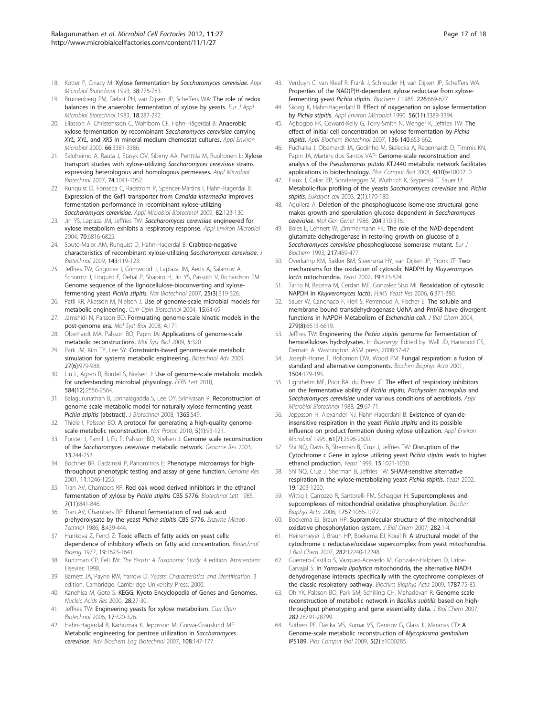- <span id="page-16-0"></span>18. Kotter P, Ciriacy M: Xylose fermentation by Saccharomyces cerevisiae. *Appl Microbiol Biotechnol* 1993, 38:776-783.
- 19. Bruinenberg PM, Debot PH, van Dijken JP, Scheffers WA: The role of redox balances in the anaerobic fermentation of xylose by yeasts. *Eur J Appl Microbiol Biotechnol* 1983, 18:287-292.
- 20. Eliasson A, Christensson C, Wahlbom CF, Hahn-Hägerdal B: [Anaerobic](http://www.ncbi.nlm.nih.gov/pubmed/10919795?dopt=Abstract) [xylose fermentation by recombinant](http://www.ncbi.nlm.nih.gov/pubmed/10919795?dopt=Abstract) Saccharomyces cerevisiae carrying XYL, XYL, and XKS [in mineral medium chemostat cultures.](http://www.ncbi.nlm.nih.gov/pubmed/10919795?dopt=Abstract) *Appl Environ Microbiol* 2000, 66:3381-3386.
- 21. Saloheimo A, Rauta J, Stasyk OV, Sibirny AA, Penttila M, Ruohonen L: [Xylose](http://www.ncbi.nlm.nih.gov/pubmed/17180689?dopt=Abstract) [transport studies with xylose-utilizing](http://www.ncbi.nlm.nih.gov/pubmed/17180689?dopt=Abstract) Saccharomyces cerevisiae strains [expressing heterologous and homologous permeases.](http://www.ncbi.nlm.nih.gov/pubmed/17180689?dopt=Abstract) *Appl Microbiol Biotechnol* 2007, 74:1041-1052.
- 22. Runquist D, Fonseca C, Radstrom P, Spencer-Martins I, Hahn-Hagerdal B: [Expression of the Gxf1 transporter from](http://www.ncbi.nlm.nih.gov/pubmed/19002682?dopt=Abstract) Candida intermedia improves [fermentation performance in recombinant xylose-utilizing](http://www.ncbi.nlm.nih.gov/pubmed/19002682?dopt=Abstract) [Saccharomyces cerevisiae](http://www.ncbi.nlm.nih.gov/pubmed/19002682?dopt=Abstract). *Appl Microbiol Biotechnol* 2009, 82:123-130.
- 23. Jin YS, Laplaza JM, Jeffries TW: [Saccharomyces cerevisiae](http://www.ncbi.nlm.nih.gov/pubmed/15528549?dopt=Abstract) engineered for [xylose metabolism exhibits a respiratory response.](http://www.ncbi.nlm.nih.gov/pubmed/15528549?dopt=Abstract) *Appl Environ Microbiol* 2004, 70:6816-6825.
- 24. Souto-Maior AM, Runquist D, Hahn-Hagerdal B: [Crabtree-negative](http://www.ncbi.nlm.nih.gov/pubmed/19560495?dopt=Abstract) [characteristics of recombinant xylose-utilizing](http://www.ncbi.nlm.nih.gov/pubmed/19560495?dopt=Abstract) Saccharomyces cerevisiae. *J Biotechnol* 2009, 143:119-123.
- 25. Jeffries TW, Grigoriev I, Grimwood J, Laplaza JM, Aerts A, Salamov A, Schumtz J, Linquist E, Dehal P, Shapiro H, Jin YS, Passoth V, Richardson PM: [Genome sequence of the lignocellulose-bioconverting and xylose](http://www.ncbi.nlm.nih.gov/pubmed/17334359?dopt=Abstract)[fermenting yeast](http://www.ncbi.nlm.nih.gov/pubmed/17334359?dopt=Abstract) Pichia stipitis. *Nat Biotechnol* 2007, 25(3):319-326.
- 26. Patil KR, Akesson M, Nielsen J: [Use of genome-scale microbial models for](http://www.ncbi.nlm.nih.gov/pubmed/15102469?dopt=Abstract) [metabolic engineering.](http://www.ncbi.nlm.nih.gov/pubmed/15102469?dopt=Abstract) *Curr Opin Biotechnol* 2004, 15:64-69.
- 27. Jamshidi N, Palsson BO: [Formulating genome-scale kinetic models in the](http://www.ncbi.nlm.nih.gov/pubmed/18319723?dopt=Abstract) [post-genome era.](http://www.ncbi.nlm.nih.gov/pubmed/18319723?dopt=Abstract) *Mol Syst Biol* 2008, 4:171.
- 28. Oberhardt MA, Palsson BO, Papin JA: [Applications of genome-scale](http://www.ncbi.nlm.nih.gov/pubmed/19888215?dopt=Abstract) [metabolic reconstructions.](http://www.ncbi.nlm.nih.gov/pubmed/19888215?dopt=Abstract) *Mol Syst Biol* 2009, 5:320.
- 29. Park JM, Kim TY, Lee SY: [Constraints-based genome-scale metabolic](http://www.ncbi.nlm.nih.gov/pubmed/19464354?dopt=Abstract) simulation [for systems metabolic engineering.](http://www.ncbi.nlm.nih.gov/pubmed/19464354?dopt=Abstract) *Biotechnol Adv* 2009, 27(6):979-988.
- 30. Liu L, Agren R, Bordel S, Nielsen J: [Use of genome-scale metabolic models](http://www.ncbi.nlm.nih.gov/pubmed/20420838?dopt=Abstract) [for understanding microbial physiology.](http://www.ncbi.nlm.nih.gov/pubmed/20420838?dopt=Abstract) *FEBS Lett* 2010, 584(12):2556-2564.
- 31. Balagurunathan B, Jonnalagadda S, Lee DY, Srinivasan R: Reconstruction of genome scale metabolic model for naturally xylose fermenting yeast Pichia stipitis [abstract]. *J Biotechnol* 2008, 136S:S49.
- 32. Thiele I, Palsson BO: [A protocol for generating a high-quality genome](http://www.ncbi.nlm.nih.gov/pubmed/20057383?dopt=Abstract)[scale metabolic reconstruction.](http://www.ncbi.nlm.nih.gov/pubmed/20057383?dopt=Abstract) *Nat Protoc* 2010, 5(1):93-121.
- 33. Forster J, Famili I, Fu P, Palsson BO, Nielsen J: [Genome scale reconstruction](http://www.ncbi.nlm.nih.gov/pubmed/12566402?dopt=Abstract) of the [Saccharomyces cerevisiae](http://www.ncbi.nlm.nih.gov/pubmed/12566402?dopt=Abstract) metabolic network. *Genome Res* 2003, 13:244-253.
- 34. Bochner BR, Gadzinski P, Panomitros E: [Phenotype microarrays for high](http://www.ncbi.nlm.nih.gov/pubmed/11435407?dopt=Abstract)[throughput phenotypic testing and assay of gene function.](http://www.ncbi.nlm.nih.gov/pubmed/11435407?dopt=Abstract) *Genome Res* 2001, 11:1246-1255.
- 35. Tran AV, Chambers RP: Red oak wood derived inhibitors in the ethanol fermentation of xylose by Pichia stipitis CBS 5776. *Biotechnol Lett* 1985, 7(11):841-846.
- 36. Tran AV, Chambers RP: Ethanol fermentation of red oak acid prehydrolysate by the yeast Pichia stipitis CBS 5776. *Enzyme Microb Technol* 1986, 8:439-444.
- 37. Hunkova Z, Fencl Z: [Toxic effects of fatty acids on yeast cells:](http://www.ncbi.nlm.nih.gov/pubmed/336112?dopt=Abstract) [dependence of inhibitory effects on fatty acid concentration.](http://www.ncbi.nlm.nih.gov/pubmed/336112?dopt=Abstract) *Biotechnol Bioeng* 1977, 19:1623-1641.
- 38. Kurtzman CP, Fell JW: *The Yeasts: A Taxonomic Study.* 4 edition. Amsterdam: Elsevier; 1998.
- 39. Barnett JA, Payne RW, Yarrow D: *Yeasts: Characteristics and Identification.* 3 edition. Cambridge: Cambridge University Press; 2000.
- 40. Kanehisa M, Goto S: [KEGG: Kyoto Encyclopedia of Genes and Genomes.](http://www.ncbi.nlm.nih.gov/pubmed/10592173?dopt=Abstract) *Nucleic Acids Res* 2000, 28:27-30.
- 41. Jeffries TW: [Engineering yeasts for xylose metabolism.](http://www.ncbi.nlm.nih.gov/pubmed/16713243?dopt=Abstract) *Curr Opin Biotechnol* 2006, 17:320-326.
- 42. Hahn-Hagerdal B, Karhumaa K, Jeppsson M, Gorwa-Grauslund MF: [Metabolic engineering for pentose utilization in](http://www.ncbi.nlm.nih.gov/pubmed/17846723?dopt=Abstract) Saccharomyces [cerevisiae](http://www.ncbi.nlm.nih.gov/pubmed/17846723?dopt=Abstract). *Adv Biochem Eng Biotechnol* 2007, 108:147-177.
- 43. Verduyn C, van Kleef R, Frank J, Schreuder H, van Dijken JP, Scheffers WA: Properties [of the NAD\(P\)H-dependent xylose reductase from xylose](http://www.ncbi.nlm.nih.gov/pubmed/3921014?dopt=Abstract)[fermenting yeast](http://www.ncbi.nlm.nih.gov/pubmed/3921014?dopt=Abstract) Pichia stipitis. *Biochem J* 1985, 226:669-677.
- 44. Skoog K, Hahn-Hagerdahl B: [Effect of oxygenation on xylose fermentation](http://www.ncbi.nlm.nih.gov/pubmed/16348343?dopt=Abstract) by [Pichia stipiti](http://www.ncbi.nlm.nih.gov/pubmed/16348343?dopt=Abstract)s. *Appl Environ Microbiol* 1990, 56(11):3389-3394.
- 45. Agbogbo FK, Coward-Kelly G, Torry-Smith N, Wenger K, Jeffries TW: The effect of initial cell concentration on xylose fermentation by Pichia stipitis. *Appl Biochem Biotechnol* 2007, 136-140:653-662.
- 46. Puchalka J, Oberhardt JA, Godinho M, Bielecka A, Regenhardt D, Timmis KN, Papin JA, Martins dos Santos VAP: [Genome-scale reconstruction and](http://www.ncbi.nlm.nih.gov/pubmed/18974823?dopt=Abstract) analysis of the Pseudomonas putida [KT2440 metabolic network facilitates](http://www.ncbi.nlm.nih.gov/pubmed/18974823?dopt=Abstract) [applications in biotechnology.](http://www.ncbi.nlm.nih.gov/pubmed/18974823?dopt=Abstract) *Plos Comput Biol* 2008, 4(10):e1000210.
- 47. Fiaux J, Cakar ZP, Sonderegger M, Wuthrich K, Szyperski T, Sauer U: [Metabolic-flux profiling of the yeasts](http://www.ncbi.nlm.nih.gov/pubmed/12582134?dopt=Abstract) Saccharomyces cerevisiae and Pichia [stipitis](http://www.ncbi.nlm.nih.gov/pubmed/12582134?dopt=Abstract). *Eukaryot cell* 2003, 2(1):170-180.
- 48. Aguilera A: [Deletion of the phosphoglucose isomerase structural gene](http://www.ncbi.nlm.nih.gov/pubmed/3020369?dopt=Abstract) [makes growth and sporulation glucose dependent in](http://www.ncbi.nlm.nih.gov/pubmed/3020369?dopt=Abstract) Saccharomyces [cerevisiae](http://www.ncbi.nlm.nih.gov/pubmed/3020369?dopt=Abstract). *Mol Gen Genet* 1986, 204:310-316.
- Boles E, Lehnert W, Zimmermann FK: [The role of the NAD-dependent](http://www.ncbi.nlm.nih.gov/pubmed/7901008?dopt=Abstract) [glutamate dehydrogenase in restoring growth on glucose of a](http://www.ncbi.nlm.nih.gov/pubmed/7901008?dopt=Abstract) Saccharomyces cerevisiae [phosphoglucose isomerase mutant.](http://www.ncbi.nlm.nih.gov/pubmed/7901008?dopt=Abstract) *Eur J Biochem* 1993, 217:469-477.
- 50. Overkamp KM, Bakker BM, Steensma HY, van Dijken JP, Pronk JT: [Two](http://www.ncbi.nlm.nih.gov/pubmed/12112236?dopt=Abstract) [mechanisms for the oxidation of cytosolic NADPH by](http://www.ncbi.nlm.nih.gov/pubmed/12112236?dopt=Abstract) Kluyveromyces lactis [mitochondria.](http://www.ncbi.nlm.nih.gov/pubmed/12112236?dopt=Abstract) *Yeast* 2002, 19:813-824.
- 51. Tarrio N, Becerra M, Cerdan ME, Gonzalez Siso MI: [Reoxidation of cytosolic](http://www.ncbi.nlm.nih.gov/pubmed/16630277?dopt=Abstract) NAPDH in [Kluyveromyces lactis](http://www.ncbi.nlm.nih.gov/pubmed/16630277?dopt=Abstract). *FEMS Yeast Res* 2006, 6:371-380.
- 52. Sauer W, Canonaco F, Heri S, Perrenoud A, Fischer F: [The soluble and](http://www.ncbi.nlm.nih.gov/pubmed/14660605?dopt=Abstract) [membrane bound transdehydrogenase UdhA and PntAB have divergent](http://www.ncbi.nlm.nih.gov/pubmed/14660605?dopt=Abstract) [functions in NAPDH Metabolism of](http://www.ncbi.nlm.nih.gov/pubmed/14660605?dopt=Abstract) Escherichia coli. *J Biol Chem* 2004, 279(8):6613-6619.
- Jeffries TW: Engineering the Pichia stipitis genome for fermentation of hemicelluloses hydrolysates. In *Bioenergy.* Edited by: Wall JD, Harwood CS, Demain A. Washington: ASM press; 2008:37-47.
- 54. Joseph-Horne T, Hollomon DW, Wood PM: [Fungal respiration: a fusion of](http://www.ncbi.nlm.nih.gov/pubmed/11245784?dopt=Abstract) [standard and alternative components.](http://www.ncbi.nlm.nih.gov/pubmed/11245784?dopt=Abstract) *Biochim Biophys Acta* 2001, 1504:179-195.
- 55. Lighthelm ME, Prior BA, du Preez JC: The effect of respiratory inhibitors on the fermentative ability of Pichia stipitis, Pachysolen tannopilus and Saccharomyces cerevisiae under various conditions of aerobiosis. *Appl Microbiol Biotechnol* 1988, 29:67-71.
- 56. Jeppsson H, Alexander NJ, Hahn-Hagerdahl B: [Existence of cyanide](http://www.ncbi.nlm.nih.gov/pubmed/16535073?dopt=Abstract)[insensitive respiration in the yeast](http://www.ncbi.nlm.nih.gov/pubmed/16535073?dopt=Abstract) Pichia stipitis and its possible [influence on product formation during xylose utilization.](http://www.ncbi.nlm.nih.gov/pubmed/16535073?dopt=Abstract) *Appl Environ Microbiol* 1995, 61(7):2596-2600.
- 57. Shi NQ, Davis B, Sherman B, Cruz J, Jeffries TW: [Disruption of the](http://www.ncbi.nlm.nih.gov/pubmed/10455226?dopt=Abstract) [Cytochrome c Gene in xylose utilizing yeast](http://www.ncbi.nlm.nih.gov/pubmed/10455226?dopt=Abstract) Pichia stipitis leads to higher [ethanol production.](http://www.ncbi.nlm.nih.gov/pubmed/10455226?dopt=Abstract) *Yeast* 1999, 15:1021-1030.
- 58. Shi NQ, Cruz J, Sherman B, Jeffries TW: [SHAM-sensitive alternative](http://www.ncbi.nlm.nih.gov/pubmed/12271457?dopt=Abstract) [respiration in the xylose-metabolizing yeast](http://www.ncbi.nlm.nih.gov/pubmed/12271457?dopt=Abstract) Pichia stipitis. *Yeast* 2002, 19:1203-1220.
- 59. Wittig I, Carrozzo R, Santorelli FM, Schagger H: [Supercomplexes and](http://www.ncbi.nlm.nih.gov/pubmed/16782043?dopt=Abstract) [supcomplexes of mitochondrial oxidative phosphorylation.](http://www.ncbi.nlm.nih.gov/pubmed/16782043?dopt=Abstract) *Biochim Biophys Acta* 2006, 1757:1066-1072.
- 60. Boekema EJ, Braun HP: [Supramolecular structure of the mitochondrial](http://www.ncbi.nlm.nih.gov/pubmed/17102127?dopt=Abstract) [oxidative phosphorylation system.](http://www.ncbi.nlm.nih.gov/pubmed/17102127?dopt=Abstract) *J Biol Chem* 2007, 282:1-4.
- 61. Heinemeyer J, Braun HP, Boekema EJ, Kouil R: [A structural model of the](http://www.ncbi.nlm.nih.gov/pubmed/17322303?dopt=Abstract) [cytochrome c reductase/oxidase supercomplex from yeast mitochondria.](http://www.ncbi.nlm.nih.gov/pubmed/17322303?dopt=Abstract) *J Biol Chem* 2007, 282:12240-12248.
- 62. Guerrero-Castillo S, Vazquez-Acevedo M, Gonzalez-Halphen D, Uribe-Carvajal S: In Yarrowia lipolytica [mitochondria, the alternative NADH](http://www.ncbi.nlm.nih.gov/pubmed/19038229?dopt=Abstract) [dehydrogenase interacts specifically with the cytochrome complexes of](http://www.ncbi.nlm.nih.gov/pubmed/19038229?dopt=Abstract) [the classic respiratory pathway.](http://www.ncbi.nlm.nih.gov/pubmed/19038229?dopt=Abstract) *Biochim Biophys Acta* 2009, 1787:75-85.
- 63. Oh YK, Palsson BO, Park SM, Schilling CH, Mahadevan R: [Genome scale](http://www.ncbi.nlm.nih.gov/pubmed/17573341?dopt=Abstract) [reconstruction of metabolic network in](http://www.ncbi.nlm.nih.gov/pubmed/17573341?dopt=Abstract) Bacillus subtilis based on high[throughput phenotyping and gene essentiality data.](http://www.ncbi.nlm.nih.gov/pubmed/17573341?dopt=Abstract) *J Biol Chem* 2007, 282:28791-28799.
- Suthers PF, Dasika MS, Kumar VS, Denisov G, Glass JI, Maranas CD: [A](http://www.ncbi.nlm.nih.gov/pubmed/19214212?dopt=Abstract) [Genome-scale metabolic reconstruction of](http://www.ncbi.nlm.nih.gov/pubmed/19214212?dopt=Abstract) Mycoplasma genitalium [iPS189.](http://www.ncbi.nlm.nih.gov/pubmed/19214212?dopt=Abstract) *Plos Comput Biol* 2009, 5(2):e1000285.